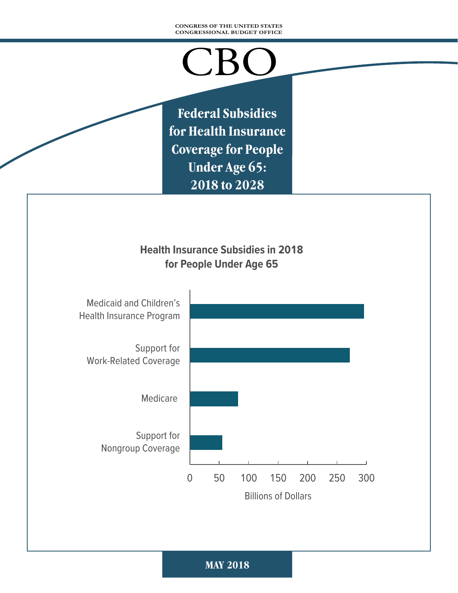#### **CONGRESS OF THE UNITED STATES CONGRESSIONAL BUDGET OFFICE**

# $\bigcup$   $B$

**Federal Subsidies for Health Insurance Coverage for People Under Age 65: 2018 to 2028**

## **Health Insurance Subsidies in 2018 for People Under Age 65**

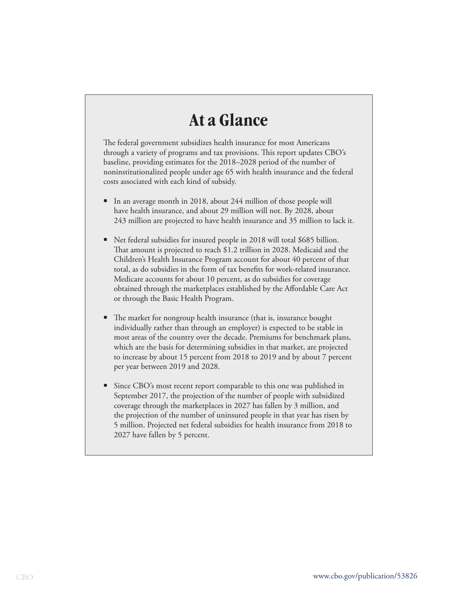## **At a Glance**

The federal government subsidizes health insurance for most Americans through a variety of programs and tax provisions. This report updates CBO's baseline, providing estimates for the 2018–2028 period of the number of noninstitutionalized people under age 65 with health insurance and the federal costs associated with each kind of subsidy.

- In an average month in 2018, about 244 million of those people will have health insurance, and about 29 million will not. By 2028, about 243 million are projected to have health insurance and 35 million to lack it.
- Net federal subsidies for insured people in 2018 will total \$685 billion. That amount is projected to reach \$1.2 trillion in 2028. Medicaid and the Children's Health Insurance Program account for about 40 percent of that total, as do subsidies in the form of tax benefits for work-related insurance. Medicare accounts for about 10 percent, as do subsidies for coverage obtained through the marketplaces established by the Affordable Care Act or through the Basic Health Program.
- The market for nongroup health insurance (that is, insurance bought individually rather than through an employer) is expected to be stable in most areas of the country over the decade. Premiums for benchmark plans, which are the basis for determining subsidies in that market, are projected to increase by about 15 percent from 2018 to 2019 and by about 7 percent per year between 2019 and 2028.
- Since CBO's most recent report comparable to this one was published in September 2017, the projection of the number of people with subsidized coverage through the marketplaces in 2027 has fallen by 3 million, and the projection of the number of uninsured people in that year has risen by 5 million. Projected net federal subsidies for health insurance from 2018 to 2027 have fallen by 5 percent.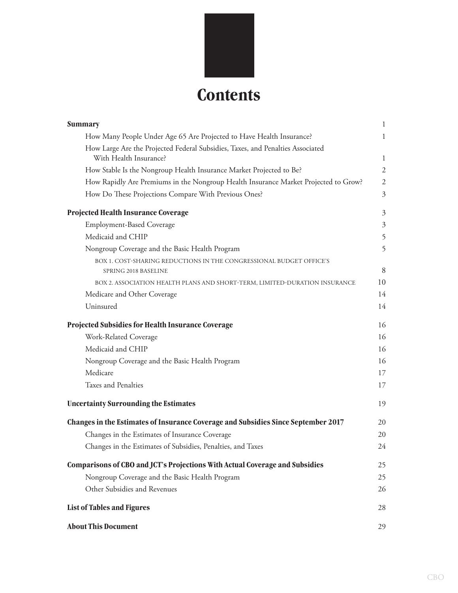

| <b>Summary</b>                                                                      | 1              |
|-------------------------------------------------------------------------------------|----------------|
| How Many People Under Age 65 Are Projected to Have Health Insurance?                | 1              |
| How Large Are the Projected Federal Subsidies, Taxes, and Penalties Associated      |                |
| With Health Insurance?                                                              | 1              |
| How Stable Is the Nongroup Health Insurance Market Projected to Be?                 | $\overline{2}$ |
| How Rapidly Are Premiums in the Nongroup Health Insurance Market Projected to Grow? | $\mathfrak{2}$ |
| How Do These Projections Compare With Previous Ones?                                | $\mathfrak{Z}$ |
| Projected Health Insurance Coverage                                                 | $\mathfrak{Z}$ |
| <b>Employment-Based Coverage</b>                                                    | $\mathfrak{Z}$ |
| Medicaid and CHIP                                                                   | 5              |
| Nongroup Coverage and the Basic Health Program                                      | 5              |
| BOX 1. COST-SHARING REDUCTIONS IN THE CONGRESSIONAL BUDGET OFFICE'S                 |                |
| SPRING 2018 BASELINE                                                                | 8              |
| BOX 2. ASSOCIATION HEALTH PLANS AND SHORT-TERM, LIMITED-DURATION INSURANCE          | 10             |
| Medicare and Other Coverage                                                         | 14             |
| Uninsured                                                                           | 14             |
| Projected Subsidies for Health Insurance Coverage                                   | 16             |
| Work-Related Coverage                                                               | 16             |
| Medicaid and CHIP                                                                   | 16             |
| Nongroup Coverage and the Basic Health Program                                      | 16             |
| Medicare                                                                            | 17             |
| Taxes and Penalties                                                                 | 17             |
| <b>Uncertainty Surrounding the Estimates</b>                                        | 19             |
| Changes in the Estimates of Insurance Coverage and Subsidies Since September 2017   | 20             |
| Changes in the Estimates of Insurance Coverage                                      | 20             |
| Changes in the Estimates of Subsidies, Penalties, and Taxes                         | 24             |
| Comparisons of CBO and JCT's Projections With Actual Coverage and Subsidies         | 25             |
| Nongroup Coverage and the Basic Health Program                                      | 25             |
| Other Subsidies and Revenues                                                        | 26             |
| <b>List of Tables and Figures</b>                                                   | 28             |
| <b>About This Document</b>                                                          | 29             |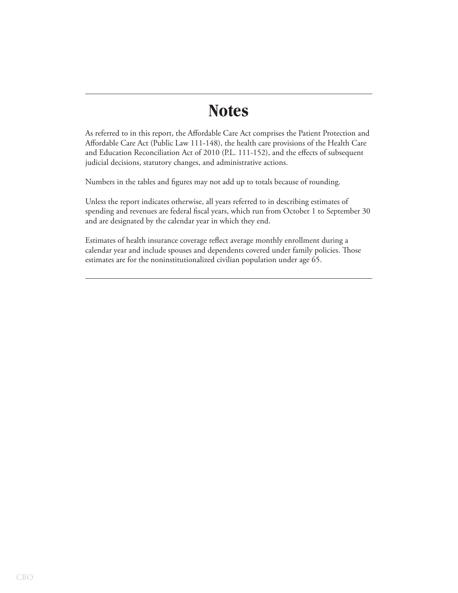## **Notes**

As referred to in this report, the Affordable Care Act comprises the Patient Protection and Affordable Care Act (Public Law 111-148), the health care provisions of the Health Care and Education Reconciliation Act of 2010 (P.L. 111-152), and the effects of subsequent judicial decisions, statutory changes, and administrative actions.

Numbers in the tables and figures may not add up to totals because of rounding.

Unless the report indicates otherwise, all years referred to in describing estimates of spending and revenues are federal fiscal years, which run from October 1 to September 30 and are designated by the calendar year in which they end.

Estimates of health insurance coverage reflect average monthly enrollment during a calendar year and include spouses and dependents covered under family policies. Those estimates are for the noninstitutionalized civilian population under age 65.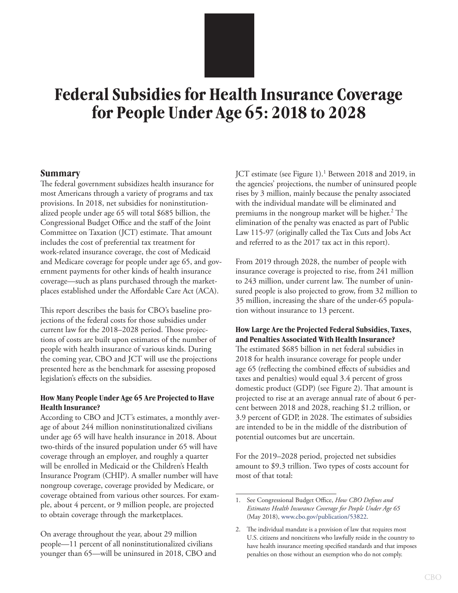## <span id="page-4-1"></span><span id="page-4-0"></span>**Federal Subsidies for Health Insurance Coverage for People Under Age 65: 2018 to 2028**

#### **Summary**

The federal government subsidizes health insurance for most Americans through a variety of programs and tax provisions. In 2018, net subsidies for noninstitutionalized people under age 65 will total \$685 billion, the Congressional Budget Office and the staff of the Joint Committee on Taxation (JCT) estimate. That amount includes the cost of preferential tax treatment for work-related insurance coverage, the cost of Medicaid and Medicare coverage for people under age 65, and government payments for other kinds of health insurance coverage—such as plans purchased through the marketplaces established under the Affordable Care Act (ACA).

This report describes the basis for CBO's baseline projections of the federal costs for those subsidies under current law for the 2018–2028 period. Those projections of costs are built upon estimates of the number of people with health insurance of various kinds. During the coming year, CBO and JCT will use the projections presented here as the benchmark for assessing proposed legislation's effects on the subsidies.

#### **How Many People Under Age 65 Are Projected to Have Health Insurance?**

According to CBO and JCT's estimates, a monthly average of about 244 million noninstitutionalized civilians under age 65 will have health insurance in 2018. About two-thirds of the insured population under 65 will have coverage through an employer, and roughly a quarter will be enrolled in Medicaid or the Children's Health Insurance Program (CHIP). A smaller number will have nongroup coverage, coverage provided by Medicare, or coverage obtained from various other sources. For example, about 4 percent, or 9 million people, are projected to obtain coverage through the marketplaces.

On average throughout the year, about 29 million people—11 percent of all noninstitutionalized civilians younger than 65—will be uninsured in 2018, CBO and

JCT estimate (see [Figure 1](#page-5-1)).<sup>1</sup> Between 2018 and 2019, in the agencies' projections, the number of uninsured people rises by 3 million, mainly because the penalty associated with the individual mandate will be eliminated and premiums in the nongroup market will be higher.<sup>2</sup> The elimination of the penalty was enacted as part of Public Law 115-97 (originally called the Tax Cuts and Jobs Act and referred to as the 2017 tax act in this report).

From 2019 through 2028, the number of people with insurance coverage is projected to rise, from 241 million to 243 million, under current law. The number of uninsured people is also projected to grow, from 32 million to 35 million, increasing the share of the under-65 population without insurance to 13 percent.

**How Large Are the Projected Federal Subsidies, Taxes, and Penalties Associated With Health Insurance?** The estimated \$685 billion in net federal subsidies in 2018 for health insurance coverage for people under age 65 (reflecting the combined effects of subsidies and taxes and penalties) would equal 3.4 percent of gross domestic product (GDP) (see [Figure 2](#page-6-1)). That amount is projected to rise at an average annual rate of about 6 percent between 2018 and 2028, reaching \$1.2 trillion, or 3.9 percent of GDP, in 2028. The estimates of subsidies are intended to be in the middle of the distribution of potential outcomes but are uncertain.

For the 2019–2028 period, projected net subsidies amount to \$9.3 trillion. Two types of costs account for most of that total:

<sup>1.</sup> See Congressional Budget Office, *How CBO Defines and Estimates Health Insurance Coverage for People Under Age 65* (May 2018), [www.cbo.gov/publication/53822](http://www.cbo.gov/publication/53822).

<sup>2.</sup> The individual mandate is a provision of law that requires most U.S. citizens and noncitizens who lawfully reside in the country to have health insurance meeting specified standards and that imposes penalties on those without an exemption who do not comply.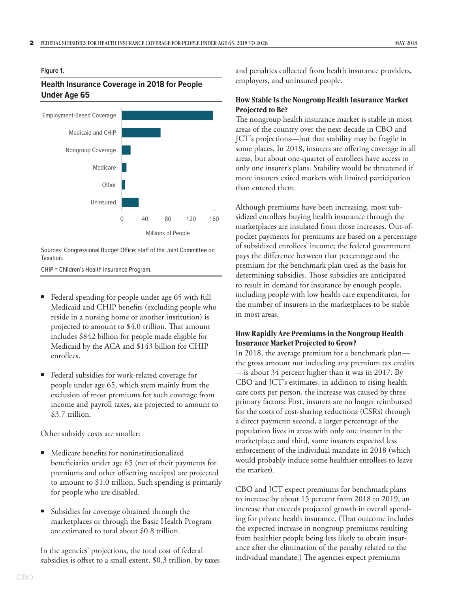#### <span id="page-5-1"></span><span id="page-5-0"></span>**Figure 1.**

#### **Health Insurance Coverage in 2018 for People Under Age 65**



Sources: Congressional Budget Office; staff of the Joint Committee on Taxation.

CHIP = Children's Health Insurance Program.

- Federal spending for people under age 65 with full Medicaid and CHIP benefits (excluding people who reside in a nursing home or another institution) is projected to amount to \$4.0 trillion. That amount includes \$842 billion for people made eligible for Medicaid by the ACA and \$143 billion for CHIP enrollees.
- Federal subsidies for work-related coverage for people under age 65, which stem mainly from the exclusion of most premiums for such coverage from income and payroll taxes, are projected to amount to \$3.7 trillion.

Other subsidy costs are smaller:

- Medicare benefits for noninstitutionalized beneficiaries under age 65 (net of their payments for premiums and other offsetting receipts) are projected to amount to \$1.0 trillion. Such spending is primarily for people who are disabled.
- Subsidies for coverage obtained through the marketplaces or through the Basic Health Program are estimated to total about \$0.8 trillion.

In the agencies' projections, the total cost of federal subsidies is offset to a small extent, \$0.3 trillion, by taxes and penalties collected from health insurance providers, employers, and uninsured people.

#### **How Stable Is the Nongroup Health Insurance Market Projected to Be?**

The nongroup health insurance market is stable in most areas of the country over the next decade in CBO and JCT's projections—but that stability may be fragile in some places. In 2018, insurers are offering coverage in all areas, but about one-quarter of enrollees have access to only one insurer's plans. Stability would be threatened if more insurers exited markets with limited participation than entered them.

Although premiums have been increasing, most subsidized enrollees buying health insurance through the marketplaces are insulated from those increases. Out-ofpocket payments for premiums are based on a percentage of subsidized enrollees' income; the federal government pays the difference between that percentage and the premium for the benchmark plan used as the basis for determining subsidies. Those subsidies are anticipated to result in demand for insurance by enough people, including people with low health care expenditures, for the number of insurers in the marketplaces to be stable in most areas.

#### **How Rapidly Are Premiums in the Nongroup Health Insurance Market Projected to Grow?**

In 2018, the average premium for a benchmark plan the gross amount not including any premium tax credits —is about 34 percent higher than it was in 2017. By CBO and JCT's estimates, in addition to rising health care costs per person, the increase was caused by three primary factors: First, insurers are no longer reimbursed for the costs of cost-sharing reductions (CSRs) through a direct payment; second, a larger percentage of the population lives in areas with only one insurer in the marketplace; and third, some insurers expected less enforcement of the individual mandate in 2018 (which would probably induce some healthier enrollees to leave the market).

CBO and JCT expect premiums for benchmark plans to increase by about 15 percent from 2018 to 2019, an increase that exceeds projected growth in overall spending for private health insurance. (That outcome includes the expected increase in nongroup premiums resulting from healthier people being less likely to obtain insurance after the elimination of the penalty related to the individual mandate.) The agencies expect premiums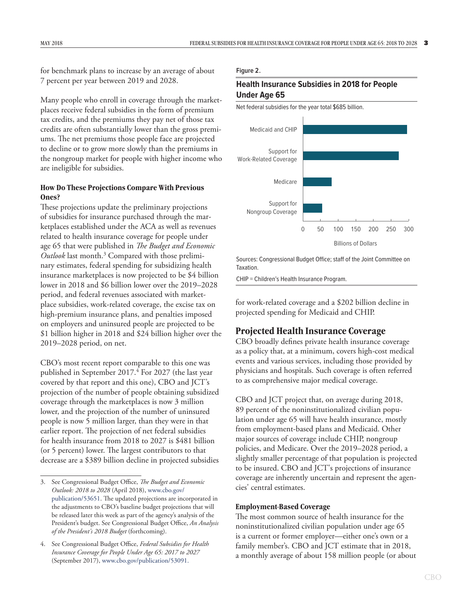<span id="page-6-0"></span>for benchmark plans to increase by an average of about 7 percent per year between 2019 and 2028.

Many people who enroll in coverage through the marketplaces receive federal subsidies in the form of premium tax credits, and the premiums they pay net of those tax credits are often substantially lower than the gross premiums. The net premiums those people face are projected to decline or to grow more slowly than the premiums in the nongroup market for people with higher income who are ineligible for subsidies.

#### **How Do These Projections Compare With Previous Ones?**

These projections update the preliminary projections of subsidies for insurance purchased through the marketplaces established under the ACA as well as revenues related to health insurance coverage for people under age 65 that were published in *The Budget and Economic*  Outlook last month.<sup>3</sup> Compared with those preliminary estimates, federal spending for subsidizing health insurance marketplaces is now projected to be \$4 billion lower in 2018 and \$6 billion lower over the 2019–2028 period, and federal revenues associated with marketplace subsidies, work-related coverage, the excise tax on high-premium insurance plans, and penalties imposed on employers and uninsured people are projected to be \$1 billion higher in 2018 and \$24 billion higher over the 2019–2028 period, on net.

CBO's most recent report comparable to this one was published in September 2017.<sup>4</sup> For 2027 (the last year covered by that report and this one), CBO and JCT's projection of the number of people obtaining subsidized coverage through the marketplaces is now 3 million lower, and the projection of the number of uninsured people is now 5 million larger, than they were in that earlier report. The projection of net federal subsidies for health insurance from 2018 to 2027 is \$481 billion (or 5 percent) lower. The largest contributors to that decrease are a \$389 billion decline in projected subsidies

#### <span id="page-6-1"></span>**Figure 2.**

#### **Health Insurance Subsidies in 2018 for People Under Age 65**



Sources: Congressional Budget Office; staff of the Joint Committee on Taxation.

CHIP = Children's Health Insurance Program.

for work-related coverage and a \$202 billion decline in projected spending for Medicaid and CHIP.

### **Projected Health Insurance Coverage**

CBO broadly defines private health insurance coverage as a policy that, at a minimum, covers high-cost medical events and various services, including those provided by physicians and hospitals. Such coverage is often referred to as comprehensive major medical coverage.

CBO and JCT project that, on average during 2018, 89 percent of the noninstitutionalized civilian population under age 65 will have health insurance, mostly from employment-based plans and Medicaid. Other major sources of coverage include CHIP, nongroup policies, and Medicare. Over the 2019–2028 period, a slightly smaller percentage of that population is projected to be insured. CBO and JCT's projections of insurance coverage are inherently uncertain and represent the agencies' central estimates.

#### **Employment-Based Coverage**

The most common source of health insurance for the noninstitutionalized civilian population under age 65 is a current or former employer—either one's own or a family member's. CBO and JCT estimate that in 2018, a monthly average of about 158 million people (or about

<sup>3.</sup> See Congressional Budget Office, *The Budget and Economic Outlook: 2018 to 2028* (April 2018), [www.cbo.gov/](http://www.cbo.gov/publication/53651) [publication/53651](http://www.cbo.gov/publication/53651). The updated projections are incorporated in the adjustments to CBO's baseline budget projections that will be released later this week as part of the agency's analysis of the President's budget. See Congressional Budget Office, *An Analysis of the President's 2018 Budget* (forthcoming).

<sup>4.</sup> See Congressional Budget Office, *Federal Subsidies for Health Insurance Coverage for People Under Age 65: 2017 to 2027* (September 2017), [www.cbo.gov/publication/53091.](http://www.cbo.gov/publication/53091)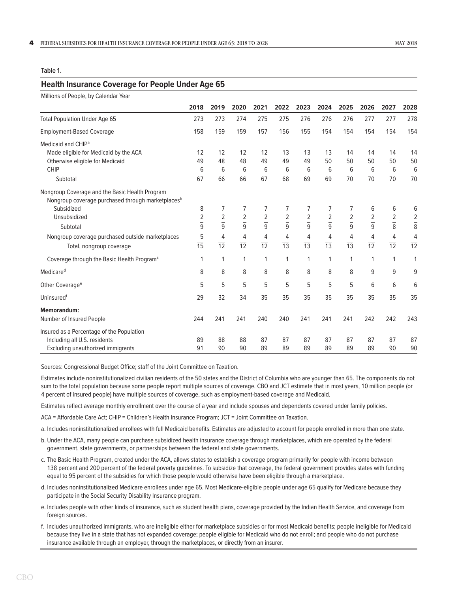#### <span id="page-7-1"></span><span id="page-7-0"></span>**Table 1.**

#### **Health Insurance Coverage for People Under Age 65**

| Millions of People, by Calendar Year                                                                            |                                  |                                  |                                 |                                           |                              |                                  |                                  |                                  |                      |                     |                      |
|-----------------------------------------------------------------------------------------------------------------|----------------------------------|----------------------------------|---------------------------------|-------------------------------------------|------------------------------|----------------------------------|----------------------------------|----------------------------------|----------------------|---------------------|----------------------|
|                                                                                                                 | 2018                             | 2019                             | 2020                            | 2021                                      | 2022                         | 2023                             | 2024                             | 2025                             | 2026                 | 2027                | 2028                 |
| <b>Total Population Under Age 65</b>                                                                            | 273                              | 273                              | 274                             | 275                                       | 275                          | 276                              | 276                              | 276                              | 277                  | 277                 | 278                  |
| <b>Employment-Based Coverage</b>                                                                                | 158                              | 159                              | 159                             | 157                                       | 156                          | 155                              | 154                              | 154                              | 154                  | 154                 | 154                  |
| Medicaid and CHIP <sup>a</sup><br>Made eligible for Medicaid by the ACA                                         | 12                               | 12                               | 12                              | 12                                        | 13                           | 13                               | 13                               | 14                               | 14                   | 14                  | 14                   |
| Otherwise eligible for Medicaid<br><b>CHIP</b>                                                                  | 49<br>6                          | 48<br>6                          | 48<br>6                         | 49<br>6                                   | 49<br>6                      | 49<br>6                          | 50<br>6                          | 50<br>6                          | 50<br>6              | 50<br>6             | 50<br>$\frac{6}{70}$ |
| Subtotal                                                                                                        | $\overline{67}$                  | 66                               | 66                              | $\overline{67}$                           | 68                           | 69                               | $\overline{69}$                  | $\overline{70}$                  | $\overline{70}$      | 70                  |                      |
| Nongroup Coverage and the Basic Health Program<br>Nongroup coverage purchased through marketplaces <sup>b</sup> |                                  |                                  |                                 |                                           |                              |                                  |                                  |                                  |                      |                     |                      |
| Subsidized                                                                                                      | 8                                | 7                                | 7                               | 7                                         | 7                            | 7                                | 7                                | 7                                | 6                    | 6                   | 6                    |
| Unsubsidized                                                                                                    | $\overline{2}$<br>$\overline{9}$ | $\overline{2}$<br>$\overline{9}$ | $\overline{2}$<br>$\frac{1}{9}$ | $\overline{\mathbf{c}}$<br>$\overline{9}$ | $\sqrt{2}$<br>$\overline{9}$ | $\overline{c}$<br>$\overline{9}$ | $\overline{2}$<br>$\overline{9}$ | $\overline{c}$<br>$\overline{9}$ | $rac{2}{9}$          | $\frac{2}{8}$       | $\frac{2}{8}$        |
| Subtotal                                                                                                        |                                  |                                  |                                 |                                           |                              |                                  |                                  |                                  |                      |                     |                      |
| Nongroup coverage purchased outside marketplaces<br>Total, nongroup coverage                                    | 5<br>$\frac{1}{15}$              | 4<br>$\overline{12}$             | 4<br>$\overline{12}$            | 4<br>$\overline{12}$                      | 4<br>$\overline{13}$         | 4<br>$\frac{1}{13}$              | 4<br>$\overline{13}$             | 4<br>$\overline{13}$             | 4<br>$\overline{12}$ | 4<br>$\frac{1}{12}$ | $\frac{4}{12}$       |
| Coverage through the Basic Health Program <sup>c</sup>                                                          | 1                                | 1                                | $\mathbf{1}$                    | 1                                         | 1                            | 1                                | 1                                | $\mathbf{1}$                     | 1                    | 1                   | 1                    |
| Medicare <sup>d</sup>                                                                                           | 8                                | 8                                | 8                               | 8                                         | 8                            | 8                                | 8                                | 8                                | 9                    | 9                   | 9                    |
| Other Coverage <sup>e</sup>                                                                                     | 5                                | 5                                | 5                               | 5                                         | 5                            | 5                                | 5                                | 5                                | 6                    | 6                   | 6                    |
| Uninsuredf                                                                                                      | 29                               | 32                               | 34                              | 35                                        | 35                           | 35                               | 35                               | 35                               | 35                   | 35                  | 35                   |
| <b>Memorandum:</b><br>Number of Insured People                                                                  | 244                              | 241                              | 241                             | 240                                       | 240                          | 241                              | 241                              | 241                              | 242                  | 242                 | 243                  |
| Insured as a Percentage of the Population                                                                       |                                  |                                  |                                 |                                           |                              |                                  |                                  |                                  |                      |                     |                      |
| Including all U.S. residents<br>Excluding unauthorized immigrants                                               | 89<br>91                         | 88<br>90                         | 88<br>90                        | 87<br>89                                  | 87<br>89                     | 87<br>89                         | 87<br>89                         | 87<br>89                         | 87<br>89             | 87<br>90            | 87<br>90             |

Sources: Congressional Budget Office; staff of the Joint Committee on Taxation.

Estimates include noninstitutionalized civilian residents of the 50 states and the District of Columbia who are younger than 65. The components do not sum to the total population because some people report multiple sources of coverage. CBO and JCT estimate that in most years, 10 million people (or 4 percent of insured people) have multiple sources of coverage, such as employment-based coverage and Medicaid.

Estimates reflect average monthly enrollment over the course of a year and include spouses and dependents covered under family policies.

ACA = Affordable Care Act; CHIP = Children's Health Insurance Program; JCT = Joint Committee on Taxation.

- a. Includes noninstitutionalized enrollees with full Medicaid benefits. Estimates are adjusted to account for people enrolled in more than one state.
- b. Under the ACA, many people can purchase subsidized health insurance coverage through marketplaces, which are operated by the federal government, state governments, or partnerships between the federal and state governments.
- c. The Basic Health Program, created under the ACA, allows states to establish a coverage program primarily for people with income between 138 percent and 200 percent of the federal poverty guidelines. To subsidize that coverage, the federal government provides states with funding equal to 95 percent of the subsidies for which those people would otherwise have been eligible through a marketplace.
- d. Includes noninstitutionalized Medicare enrollees under age 65. Most Medicare-eligible people under age 65 qualify for Medicare because they participate in the Social Security Disability Insurance program.
- e. Includes people with other kinds of insurance, such as student health plans, coverage provided by the Indian Health Service, and coverage from foreign sources.
- f. Includes unauthorized immigrants, who are ineligible either for marketplace subsidies or for most Medicaid benefits; people ineligible for Medicaid because they live in a state that has not expanded coverage; people eligible for Medicaid who do not enroll; and people who do not purchase insurance available through an employer, through the marketplaces, or directly from an insurer.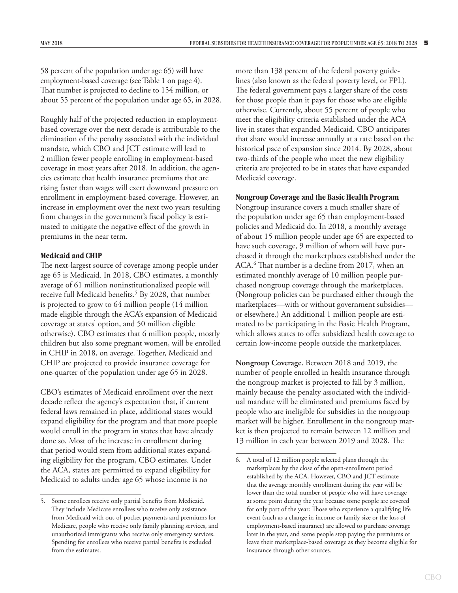<span id="page-8-0"></span>58 percent of the population under age 65) will have employment-based coverage (see [Table 1 on page 4](#page-7-0)). That number is projected to decline to 154 million, or about 55 percent of the population under age 65, in 2028.

Roughly half of the projected reduction in employmentbased coverage over the next decade is attributable to the elimination of the penalty associated with the individual mandate, which CBO and JCT estimate will lead to 2 million fewer people enrolling in employment-based coverage in most years after 2018. In addition, the agencies estimate that health insurance premiums that are rising faster than wages will exert downward pressure on enrollment in employment-based coverage. However, an increase in employment over the next two years resulting from changes in the government's fiscal policy is estimated to mitigate the negative effect of the growth in premiums in the near term.

#### **Medicaid and CHIP**

The next-largest source of coverage among people under age 65 is Medicaid. In 2018, CBO estimates, a monthly average of 61 million noninstitutionalized people will receive full Medicaid benefits.<sup>5</sup> By 2028, that number is projected to grow to 64 million people (14 million made eligible through the ACA's expansion of Medicaid coverage at states' option, and 50 million eligible otherwise). CBO estimates that 6 million people, mostly children but also some pregnant women, will be enrolled in CHIP in 2018, on average. Together, Medicaid and CHIP are projected to provide insurance coverage for one-quarter of the population under age 65 in 2028.

CBO's estimates of Medicaid enrollment over the next decade reflect the agency's expectation that, if current federal laws remained in place, additional states would expand eligibility for the program and that more people would enroll in the program in states that have already done so. Most of the increase in enrollment during that period would stem from additional states expanding eligibility for the program, CBO estimates. Under the ACA, states are permitted to expand eligibility for Medicaid to adults under age 65 whose income is no

more than 138 percent of the federal poverty guidelines (also known as the federal poverty level, or FPL). The federal government pays a larger share of the costs for those people than it pays for those who are eligible otherwise. Currently, about 55 percent of people who meet the eligibility criteria established under the ACA live in states that expanded Medicaid. CBO anticipates that share would increase annually at a rate based on the historical pace of expansion since 2014. By 2028, about two-thirds of the people who meet the new eligibility criteria are projected to be in states that have expanded Medicaid coverage.

#### **Nongroup Coverage and the Basic Health Program**

Nongroup insurance covers a much smaller share of the population under age 65 than employment-based policies and Medicaid do. In 2018, a monthly average of about 15 million people under age 65 are expected to have such coverage, 9 million of whom will have purchased it through the marketplaces established under the ACA.6 That number is a decline from 2017, when an estimated monthly average of 10 million people purchased nongroup coverage through the marketplaces. (Nongroup policies can be purchased either through the marketplaces—with or without government subsidies or elsewhere.) An additional 1 million people are estimated to be participating in the Basic Health Program, which allows states to offer subsidized health coverage to certain low-income people outside the marketplaces.

**Nongroup Coverage.** Between 2018 and 2019, the number of people enrolled in health insurance through the nongroup market is projected to fall by 3 million, mainly because the penalty associated with the individual mandate will be eliminated and premiums faced by people who are ineligible for subsidies in the nongroup market will be higher. Enrollment in the nongroup market is then projected to remain between 12 million and 13 million in each year between 2019 and 2028. The

<sup>5.</sup> Some enrollees receive only partial benefits from Medicaid. They include Medicare enrollees who receive only assistance from Medicaid with out-of-pocket payments and premiums for Medicare, people who receive only family planning services, and unauthorized immigrants who receive only emergency services. Spending for enrollees who receive partial benefits is excluded from the estimates.

<sup>6.</sup> A total of 12 million people selected plans through the marketplaces by the close of the open-enrollment period established by the ACA. However, CBO and JCT estimate that the average monthly enrollment during the year will be lower than the total number of people who will have coverage at some point during the year because some people are covered for only part of the year: Those who experience a qualifying life event (such as a change in income or family size or the loss of employment-based insurance) are allowed to purchase coverage later in the year, and some people stop paying the premiums or leave their marketplace-based coverage as they become eligible for insurance through other sources.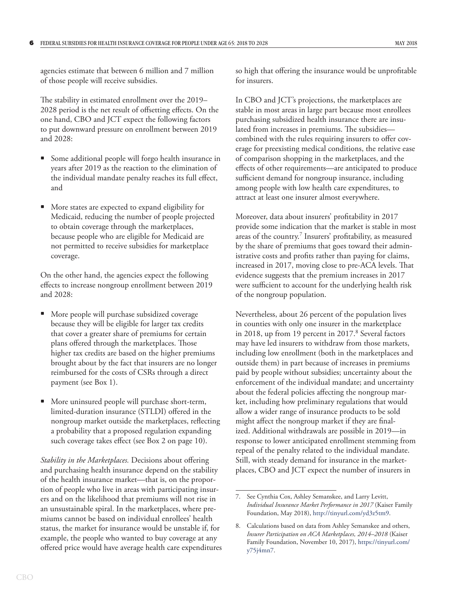agencies estimate that between 6 million and 7 million of those people will receive subsidies.

The stability in estimated enrollment over the 2019– 2028 period is the net result of offsetting effects. On the one hand, CBO and JCT expect the following factors to put downward pressure on enrollment between 2019 and 2028:

- Some additional people will forgo health insurance in years after 2019 as the reaction to the elimination of the individual mandate penalty reaches its full effect, and
- More states are expected to expand eligibility for Medicaid, reducing the number of people projected to obtain coverage through the marketplaces, because people who are eligible for Medicaid are not permitted to receive subsidies for marketplace coverage.

On the other hand, the agencies expect the following effects to increase nongroup enrollment between 2019 and 2028:

- More people will purchase subsidized coverage because they will be eligible for larger tax credits that cover a greater share of premiums for certain plans offered through the marketplaces. Those higher tax credits are based on the higher premiums brought about by the fact that insurers are no longer reimbursed for the costs of CSRs through a direct payment (see [Box 1](#page-4-1)).
- More uninsured people will purchase short-term, limited-duration insurance (STLDI) offered in the nongroup market outside the marketplaces, reflecting a probability that a proposed regulation expanding such coverage takes effect (see [Box 2](#page-13-1) [on page 10](#page-13-1)).

*Stability in the Marketplaces.* Decisions about offering and purchasing health insurance depend on the stability of the health insurance market—that is, on the proportion of people who live in areas with participating insurers and on the likelihood that premiums will not rise in an unsustainable spiral. In the marketplaces, where premiums cannot be based on individual enrollees' health status, the market for insurance would be unstable if, for example, the people who wanted to buy coverage at any offered price would have average health care expenditures so high that offering the insurance would be unprofitable for insurers.

In CBO and JCT's projections, the marketplaces are stable in most areas in large part because most enrollees purchasing subsidized health insurance there are insulated from increases in premiums. The subsidies combined with the rules requiring insurers to offer coverage for preexisting medical conditions, the relative ease of comparison shopping in the marketplaces, and the effects of other requirements—are anticipated to produce sufficient demand for nongroup insurance, including among people with low health care expenditures, to attract at least one insurer almost everywhere.

Moreover, data about insurers' profitability in 2017 provide some indication that the market is stable in most areas of the country.<sup>7</sup> Insurers' profitability, as measured by the share of premiums that goes toward their administrative costs and profits rather than paying for claims, increased in 2017, moving close to pre-ACA levels. That evidence suggests that the premium increases in 2017 were sufficient to account for the underlying health risk of the nongroup population.

Nevertheless, about 26 percent of the population lives in counties with only one insurer in the marketplace in 2018, up from 19 percent in 2017.<sup>8</sup> Several factors may have led insurers to withdraw from those markets, including low enrollment (both in the marketplaces and outside them) in part because of increases in premiums paid by people without subsidies; uncertainty about the enforcement of the individual mandate; and uncertainty about the federal policies affecting the nongroup market, including how preliminary regulations that would allow a wider range of insurance products to be sold might affect the nongroup market if they are finalized. Additional withdrawals are possible in 2019—in response to lower anticipated enrollment stemming from repeal of the penalty related to the individual mandate. Still, with steady demand for insurance in the marketplaces, CBO and JCT expect the number of insurers in

<sup>7.</sup> See Cynthia Cox, Ashley Semanskee, and Larry Levitt, *Individual Insurance Market Performance in 2017* (Kaiser Family Foundation, May 2018),<http://tinyurl.com/yd3z5tm9>.

<sup>8.</sup> Calculations based on data from Ashley Semanskee and others, *Insurer Participation on ACA Marketplaces, 2014–2018* (Kaiser Family Foundation, November 10, 2017), https://tinyurl.com/ y75j4mn7.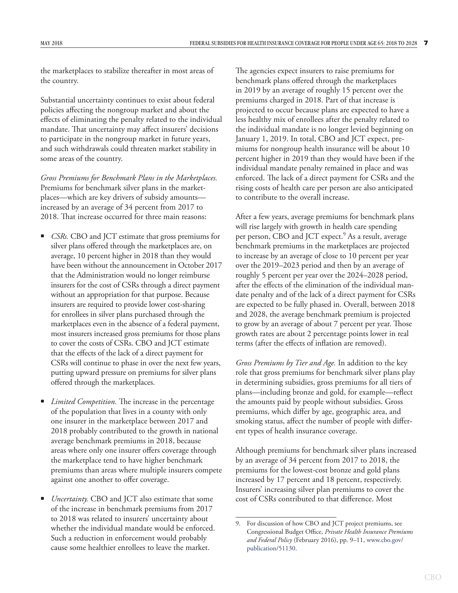the marketplaces to stabilize thereafter in most areas of the country.

Substantial uncertainty continues to exist about federal policies affecting the nongroup market and about the effects of eliminating the penalty related to the individual mandate. That uncertainty may affect insurers' decisions to participate in the nongroup market in future years, and such withdrawals could threaten market stability in some areas of the country.

*Gross Premiums for Benchmark Plans in the Marketplaces.* Premiums for benchmark silver plans in the marketplaces—which are key drivers of subsidy amounts increased by an average of 34 percent from 2017 to 2018. That increase occurred for three main reasons:

- *CSRs.* CBO and JCT estimate that gross premiums for silver plans offered through the marketplaces are, on average, 10 percent higher in 2018 than they would have been without the announcement in October 2017 that the Administration would no longer reimburse insurers for the cost of CSRs through a direct payment without an appropriation for that purpose. Because insurers are required to provide lower cost-sharing for enrollees in silver plans purchased through the marketplaces even in the absence of a federal payment, most insurers increased gross premiums for those plans to cover the costs of CSRs. CBO and JCT estimate that the effects of the lack of a direct payment for CSRs will continue to phase in over the next few years, putting upward pressure on premiums for silver plans offered through the marketplaces.
- *Limited Competition.* The increase in the percentage of the population that lives in a county with only one insurer in the marketplace between 2017 and 2018 probably contributed to the growth in national average benchmark premiums in 2018, because areas where only one insurer offers coverage through the marketplace tend to have higher benchmark premiums than areas where multiple insurers compete against one another to offer coverage.
- *Uncertainty.* CBO and JCT also estimate that some of the increase in benchmark premiums from 2017 to 2018 was related to insurers' uncertainty about whether the individual mandate would be enforced. Such a reduction in enforcement would probably cause some healthier enrollees to leave the market.

The agencies expect insurers to raise premiums for benchmark plans offered through the marketplaces in 2019 by an average of roughly 15 percent over the premiums charged in 2018. Part of that increase is projected to occur because plans are expected to have a less healthy mix of enrollees after the penalty related to the individual mandate is no longer levied beginning on January 1, 2019. In total, CBO and JCT expect, premiums for nongroup health insurance will be about 10 percent higher in 2019 than they would have been if the individual mandate penalty remained in place and was enforced. The lack of a direct payment for CSRs and the rising costs of health care per person are also anticipated to contribute to the overall increase.

After a few years, average premiums for benchmark plans will rise largely with growth in health care spending per person, CBO and JCT expect.<sup>9</sup> As a result, average benchmark premiums in the marketplaces are projected to increase by an average of close to 10 percent per year over the 2019–2023 period and then by an average of roughly 5 percent per year over the 2024–2028 period, after the effects of the elimination of the individual mandate penalty and of the lack of a direct payment for CSRs are expected to be fully phased in. Overall, between 2018 and 2028, the average benchmark premium is projected to grow by an average of about 7 percent per year. Those growth rates are about 2 percentage points lower in real terms (after the effects of inflation are removed).

*Gross Premiums by Tier and Age.* In addition to the key role that gross premiums for benchmark silver plans play in determining subsidies, gross premiums for all tiers of plans—including bronze and gold, for example—reflect the amounts paid by people without subsidies. Gross premiums, which differ by age, geographic area, and smoking status, affect the number of people with different types of health insurance coverage.

Although premiums for benchmark silver plans increased by an average of 34 percent from 2017 to 2018, the premiums for the lowest-cost bronze and gold plans increased by 17 percent and 18 percent, respectively. Insurers' increasing silver plan premiums to cover the cost of CSRs contributed to that difference. Most

<sup>9.</sup> For discussion of how CBO and JCT project premiums, see Congressional Budget Office, *Private Health Insurance Premiums and Federal Policy* (February 2016), pp. 9–11, [www.cbo.gov/](http://www.cbo.gov/publication/51130) [publication/51130](http://www.cbo.gov/publication/51130).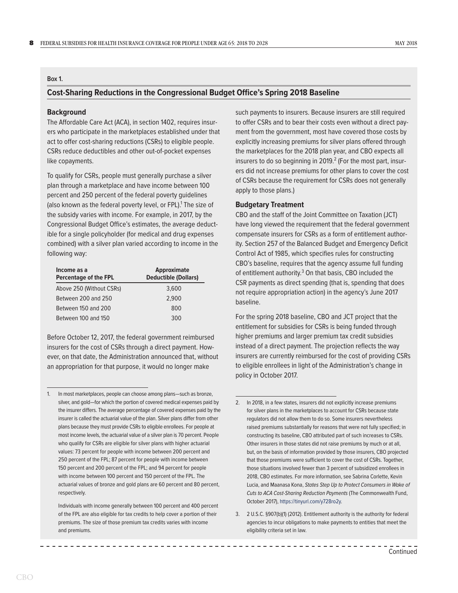#### <span id="page-11-0"></span>**Box 1.**

#### **Cost-Sharing Reductions in the Congressional Budget Office's Spring 2018 Baseline**

#### **Background**

The Affordable Care Act (ACA), in section 1402, requires insurers who participate in the marketplaces established under that act to offer cost-sharing reductions (CSRs) to eligible people. CSRs reduce deductibles and other out-of-pocket expenses like copayments.

To qualify for CSRs, people must generally purchase a silver plan through a marketplace and have income between 100 percent and 250 percent of the federal poverty guidelines (also known as the federal poverty level, or FPL).<sup>1</sup> The size of the subsidy varies with income. For example, in 2017, by the Congressional Budget Office's estimates, the average deductible for a single policyholder (for medical and drug expenses combined) with a silver plan varied according to income in the following way:

| Income as a<br>Percentage of the FPL | <b>Approximate</b><br><b>Deductible (Dollars)</b> |
|--------------------------------------|---------------------------------------------------|
| Above 250 (Without CSRs)             | 3,600                                             |
| Between 200 and 250                  | 2.900                                             |
| Between 150 and 200                  | 800                                               |
| Between 100 and 150                  | 300                                               |

Before October 12, 2017, the federal government reimbursed insurers for the cost of CSRs through a direct payment. However, on that date, the Administration announced that, without an appropriation for that purpose, it would no longer make

such payments to insurers. Because insurers are still required to offer CSRs and to bear their costs even without a direct payment from the government, most have covered those costs by explicitly increasing premiums for silver plans offered through the marketplaces for the 2018 plan year, and CBO expects all insurers to do so beginning in 2019. $^2$  (For the most part, insurers did not increase premiums for other plans to cover the cost of CSRs because the requirement for CSRs does not generally apply to those plans.)

#### **Budgetary Treatment**

CBO and the staff of the Joint Committee on Taxation (JCT) have long viewed the requirement that the federal government compensate insurers for CSRs as a form of entitlement authority. Section 257 of the Balanced Budget and Emergency Deficit Control Act of 1985, which specifies rules for constructing CBO's baseline, requires that the agency assume full funding of entitlement authority.<sup>3</sup> On that basis, CBO included the CSR payments as direct spending (that is, spending that does not require appropriation action) in the agency's June 2017 baseline.

For the spring 2018 baseline, CBO and JCT project that the entitlement for subsidies for CSRs is being funded through higher premiums and larger premium tax credit subsidies instead of a direct payment. The projection reflects the way insurers are currently reimbursed for the cost of providing CSRs to eligible enrollees in light of the Administration's change in policy in October 2017.

<sup>1.</sup> In most marketplaces, people can choose among plans—such as bronze, silver, and gold—for which the portion of covered medical expenses paid by the insurer differs. The average percentage of covered expenses paid by the insurer is called the actuarial value of the plan. Silver plans differ from other plans because they must provide CSRs to eligible enrollees. For people at most income levels, the actuarial value of a silver plan is 70 percent. People who qualify for CSRs are eligible for silver plans with higher actuarial values: 73 percent for people with income between 200 percent and 250 percent of the FPL; 87 percent for people with income between 150 percent and 200 percent of the FPL; and 94 percent for people with income between 100 percent and 150 percent of the FPL. The actuarial values of bronze and gold plans are 60 percent and 80 percent, respectively.

Individuals with income generally between 100 percent and 400 percent of the FPL are also eligible for tax credits to help cover a portion of their premiums. The size of those premium tax credits varies with income and premiums.

<sup>2.</sup> In 2018, in a few states, insurers did not explicitly increase premiums for silver plans in the marketplaces to account for CSRs because state regulators did not allow them to do so. Some insurers nevertheless raised premiums substantially for reasons that were not fully specified; in constructing its baseline, CBO attributed part of such increases to CSRs. Other insurers in those states did not raise premiums by much or at all, but, on the basis of information provided by those insurers, CBO projected that those premiums were sufficient to cover the cost of CSRs. Together, those situations involved fewer than 3 percent of subsidized enrollees in 2018, CBO estimates. For more information, see Sabrina Corlette, Kevin Lucia, and Maanasa Kona, *States Step Up to Protect Consumers in Wake of Cuts to ACA Cost-Sharing Reduction Payments* (The Commonwealth Fund, October 2017), [https://tinyurl.com/](http://www.commonwealthfund.org/publications/blog/2017/oct/states-protect-consumers-in-wake-of-aca-cost-sharing-payment-cuts)y728ro2y.

<sup>3.</sup> 2 U.S.C. §907(b)(1) (2012). Entitlement authority is the authority for federal agencies to incur obligations to make payments to entities that meet the eligibility criteria set in law.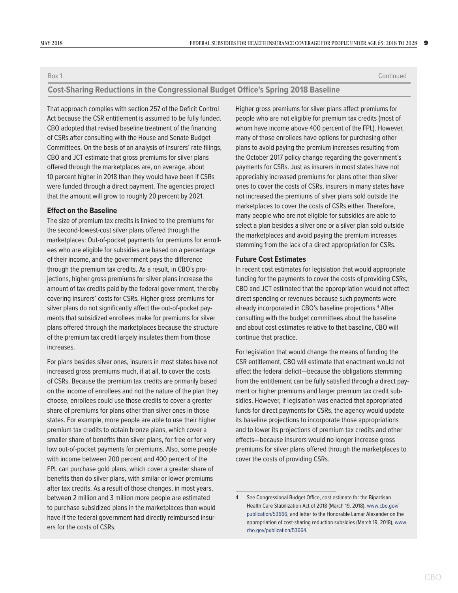Box 1. Continued

#### **Cost-Sharing Reductions in the Congressional Budget Office's Spring 2018 Baseline**

That approach complies with section 257 of the Deficit Control Act because the CSR entitlement is assumed to be fully funded. CBO adopted that revised baseline treatment of the financing of CSRs after consulting with the House and Senate Budget Committees. On the basis of an analysis of insurers' rate filings, CBO and JCT estimate that gross premiums for silver plans offered through the marketplaces are, on average, about 10 percent higher in 2018 than they would have been if CSRs were funded through a direct payment. The agencies project that the amount will grow to roughly 20 percent by 2021.

#### **Effect on the Baseline**

The size of premium tax credits is linked to the premiums for the second-lowest-cost silver plans offered through the marketplaces: Out-of-pocket payments for premiums for enrollees who are eligible for subsidies are based on a percentage of their income, and the government pays the difference through the premium tax credits. As a result, in CBO's projections, higher gross premiums for silver plans increase the amount of tax credits paid by the federal government, thereby covering insurers' costs for CSRs. Higher gross premiums for silver plans do not significantly affect the out-of-pocket payments that subsidized enrollees make for premiums for silver plans offered through the marketplaces because the structure of the premium tax credit largely insulates them from those increases.

For plans besides silver ones, insurers in most states have not increased gross premiums much, if at all, to cover the costs of CSRs. Because the premium tax credits are primarily based on the income of enrollees and not the nature of the plan they choose, enrollees could use those credits to cover a greater share of premiums for plans other than silver ones in those states. For example, more people are able to use their higher premium tax credits to obtain bronze plans, which cover a smaller share of benefits than silver plans, for free or for very low out-of-pocket payments for premiums. Also, some people with income between 200 percent and 400 percent of the FPL can purchase gold plans, which cover a greater share of benefits than do silver plans, with similar or lower premiums after tax credits. As a result of those changes, in most years, between 2 million and 3 million more people are estimated to purchase subsidized plans in the marketplaces than would have if the federal government had directly reimbursed insurers for the costs of CSRs.

Higher gross premiums for silver plans affect premiums for people who are not eligible for premium tax credits (most of whom have income above 400 percent of the FPL). However, many of those enrollees have options for purchasing other plans to avoid paying the premium increases resulting from the October 2017 policy change regarding the government's payments for CSRs. Just as insurers in most states have not appreciably increased premiums for plans other than silver ones to cover the costs of CSRs, insurers in many states have not increased the premiums of silver plans sold outside the marketplaces to cover the costs of CSRs either. Therefore, many people who are not eligible for subsidies are able to select a plan besides a silver one or a silver plan sold outside the marketplaces and avoid paying the premium increases stemming from the lack of a direct appropriation for CSRs.

#### **Future Cost Estimates**

In recent cost estimates for legislation that would appropriate funding for the payments to cover the costs of providing CSRs, CBO and JCT estimated that the appropriation would not affect direct spending or revenues because such payments were already incorporated in CBO's baseline projections.<sup>4</sup> After consulting with the budget committees about the baseline and about cost estimates relative to that baseline, CBO will continue that practice.

For legislation that would change the means of funding the CSR entitlement, CBO will estimate that enactment would not affect the federal deficit—because the obligations stemming from the entitlement can be fully satisfied through a direct payment or higher premiums and larger premium tax credit subsidies. However, if legislation was enacted that appropriated funds for direct payments for CSRs, the agency would update its baseline projections to incorporate those appropriations and to lower its projections of premium tax credits and other effects—because insurers would no longer increase gross premiums for silver plans offered through the marketplaces to cover the costs of providing CSRs.

<sup>4.</sup> See Congressional Budget Office, cost estimate for the Bipartisan Health Care Stabilization Act of 2018 (March 19, 2018), [www.cbo.gov/](http://www.cbo.gov/publication/53666) [publication/53666](http://www.cbo.gov/publication/53666), and letter to the Honorable Lamar Alexander on the appropriation of cost-sharing reduction subsidies (March 19, 2018), [www.](http://www.cbo.gov/publication/53664) [cbo.gov/publication/53664](http://www.cbo.gov/publication/53664).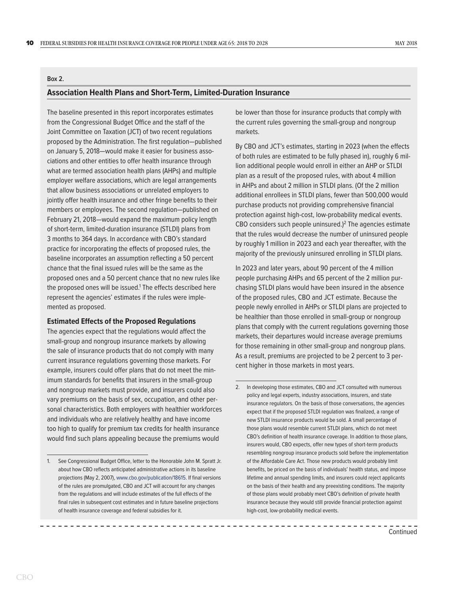#### <span id="page-13-1"></span><span id="page-13-0"></span>**Box 2.**

#### **Association Health Plans and Short-Term, Limited-Duration Insurance**

The baseline presented in this report incorporates estimates from the Congressional Budget Office and the staff of the Joint Committee on Taxation (JCT) of two recent regulations proposed by the Administration. The first regulation—published on January 5, 2018—would make it easier for business associations and other entities to offer health insurance through what are termed association health plans (AHPs) and multiple employer welfare associations, which are legal arrangements that allow business associations or unrelated employers to jointly offer health insurance and other fringe benefits to their members or employees. The second regulation—published on February 21, 2018—would expand the maximum policy length of short-term, limited-duration insurance (STLDI) plans from 3 months to 364 days. In accordance with CBO's standard practice for incorporating the effects of proposed rules, the baseline incorporates an assumption reflecting a 50 percent chance that the final issued rules will be the same as the proposed ones and a 50 percent chance that no new rules like the proposed ones will be issued.<sup>1</sup> The effects described here represent the agencies' estimates if the rules were implemented as proposed.

#### **Estimated Effects of the Proposed Regulations**

The agencies expect that the regulations would affect the small-group and nongroup insurance markets by allowing the sale of insurance products that do not comply with many current insurance regulations governing those markets. For example, insurers could offer plans that do not meet the minimum standards for benefits that insurers in the small-group and nongroup markets must provide, and insurers could also vary premiums on the basis of sex, occupation, and other personal characteristics. Both employers with healthier workforces and individuals who are relatively healthy and have income too high to qualify for premium tax credits for health insurance would find such plans appealing because the premiums would

be lower than those for insurance products that comply with the current rules governing the small-group and nongroup markets.

By CBO and JCT's estimates, starting in 2023 (when the effects of both rules are estimated to be fully phased in), roughly 6 million additional people would enroll in either an AHP or STLDI plan as a result of the proposed rules, with about 4 million in AHPs and about 2 million in STLDI plans. (Of the 2 million additional enrollees in STLDI plans, fewer than 500,000 would purchase products not providing comprehensive financial protection against high-cost, low-probability medical events. CBO considers such people uninsured.)<sup>2</sup> The agencies estimate that the rules would decrease the number of uninsured people by roughly 1 million in 2023 and each year thereafter, with the majority of the previously uninsured enrolling in STLDI plans.

In 2023 and later years, about 90 percent of the 4 million people purchasing AHPs and 65 percent of the 2 million purchasing STLDI plans would have been insured in the absence of the proposed rules, CBO and JCT estimate. Because the people newly enrolled in AHPs or STLDI plans are projected to be healthier than those enrolled in small-group or nongroup plans that comply with the current regulations governing those markets, their departures would increase average premiums for those remaining in other small-group and nongroup plans. As a result, premiums are projected to be 2 percent to 3 percent higher in those markets in most years.

<sup>1.</sup> See Congressional Budget Office, letter to the Honorable John M. Spratt Jr. about how CBO reflects anticipated administrative actions in its baseline projections (May 2, 2007), [www.cbo.gov/publication/18615](http://www.cbo.gov/publication/18615). If final versions of the rules are promulgated, CBO and JCT will account for any changes from the regulations and will include estimates of the full effects of the final rules in subsequent cost estimates and in future baseline projections of health insurance coverage and federal subsidies for it.

<sup>2.</sup> In developing those estimates, CBO and JCT consulted with numerous policy and legal experts, industry associations, insurers, and state insurance regulators. On the basis of those conversations, the agencies expect that if the proposed STLDI regulation was finalized, a range of new STLDI insurance products would be sold. A small percentage of those plans would resemble current STLDI plans, which do not meet CBO's definition of health insurance coverage. In addition to those plans, insurers would, CBO expects, offer new types of short-term products resembling nongroup insurance products sold before the implementation of the Affordable Care Act. Those new products would probably limit benefits, be priced on the basis of individuals' health status, and impose lifetime and annual spending limits, and insurers could reject applicants on the basis of their health and any preexisting conditions. The majority of those plans would probably meet CBO's definition of private health insurance because they would still provide financial protection against high-cost, low-probability medical events.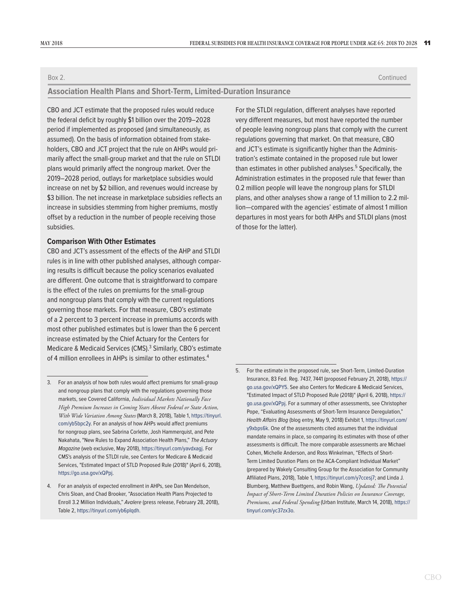#### Box 2. Continued

#### **Association Health Plans and Short-Term, Limited-Duration Insurance**

CBO and JCT estimate that the proposed rules would reduce the federal deficit by roughly \$1 billion over the 2019–2028 period if implemented as proposed (and simultaneously, as assumed). On the basis of information obtained from stakeholders, CBO and JCT project that the rule on AHPs would primarily affect the small-group market and that the rule on STLDI plans would primarily affect the nongroup market. Over the 2019–2028 period, outlays for marketplace subsidies would increase on net by \$2 billion, and revenues would increase by \$3 billion. The net increase in marketplace subsidies reflects an increase in subsidies stemming from higher premiums, mostly offset by a reduction in the number of people receiving those subsidies.

#### **Comparison With Other Estimates**

CBO and JCT's assessment of the effects of the AHP and STLDI rules is in line with other published analyses, although comparing results is difficult because the policy scenarios evaluated are different. One outcome that is straightforward to compare is the effect of the rules on premiums for the small-group and nongroup plans that comply with the current regulations governing those markets. For that measure, CBO's estimate of a 2 percent to 3 percent increase in premiums accords with most other published estimates but is lower than the 6 percent increase estimated by the Chief Actuary for the Centers for Medicare & Medicaid Services (CMS).<sup>3</sup> Similarly, CBO's estimate of 4 million enrollees in AHPs is similar to other estimates.<sup>4</sup>

For the STLDI regulation, different analyses have reported very different measures, but most have reported the number of people leaving nongroup plans that comply with the current regulations governing that market. On that measure, CBO and JCT's estimate is significantly higher than the Administration's estimate contained in the proposed rule but lower than estimates in other published analyses.<sup>5</sup> Specifically, the Administration estimates in the proposed rule that fewer than 0.2 million people will leave the nongroup plans for STLDI plans, and other analyses show a range of 1.1 million to 2.2 million—compared with the agencies' estimate of almost 1 million departures in most years for both AHPs and STLDI plans (most of those for the latter).

<sup>3.</sup> For an analysis of how both rules would affect premiums for small-group and nongroup plans that comply with the regulations governing those markets, see Covered California, *Individual Markets Nationally Face High Premium Increases in Coming Years Absent Federal or State Action, With Wide Variation Among States* (March 8, 2018), Table 1, https://tinyurl. com/yb5bpc2y. For an analysis of how AHPs would affect premiums for nongroup plans, see Sabrina Corlette, Josh Hammerquist, and Pete Nakahata, "New Rules to Expand Association Health Plans," *The Actuary Magazine* (web exclusive, May 2018),<https://tinyurl.com/yavdxagj>. For CMS's analysis of the STLDI rule, see Centers for Medicare & Medicaid Services, "Estimated Impact of STLD Proposed Rule (2018)" (April 6, 2018), https://go.usa.gov/xQPpj.

<sup>4.</sup> For an analysis of expected enrollment in AHPs, see Dan Mendelson, Chris Sloan, and Chad Brooker, "Association Health Plans Projected to Enroll 3.2 Million Individuals," *Avalere* (press release, February 28, 2018), Table 2, <https://tinyurl.com/yb6plqdh>.

<sup>5.</sup> For the estimate in the proposed rule, see Short-Term, Limited-Duration Insurance, 83 Fed. Reg. 7437, 7441 (proposed February 21, 2018), https:// go.usa.gov/xQPY5. See also Centers for Medicare & Medicaid Services, "Estimated Impact of STLD Proposed Rule (2018)" (April 6, 2018), https:// go.usa.gov/xQPpj. For a summary of other assessments, see Christopher Pope, "Evaluating Assessments of Short-Term Insurance Deregulation," *Health Affairs Blog* (blog entry, May 9, 2018) Exhibit 1, [https://tinyurl.com/](https://tinyurl.com/y9xbps6k) [y9xbps6k.](https://tinyurl.com/y9xbps6k) One of the assessments cited assumes that the individual mandate remains in place, so comparing its estimates with those of other assessments is difficult. The more comparable assessments are Michael Cohen, Michelle Anderson, and Ross Winkelman, "Effects of Short-Term Limited Duration Plans on the ACA-Compliant Individual Market" (prepared by Wakely Consulting Group for the Association for Community Affiliated Plans, 2018), Table 1, <https://tinyurl.com/y7ccesj7>; and Linda J. Blumberg, Matthew Buettgens, and Robin Wang, *Updated: The Potential Impact of Short-Term Limited Duration Policies on Insurance Coverage, Premiums, and Federal Spending* (Urban Institute, March 14, 2018), [https://](https://www.urban.org/research/publication/updated-potential-impact-short-term-limited-duration-policies-insurance-coverage-premiums-and-federal-spending) [tinyurl.com/yc37zx3o](https://www.urban.org/research/publication/updated-potential-impact-short-term-limited-duration-policies-insurance-coverage-premiums-and-federal-spending).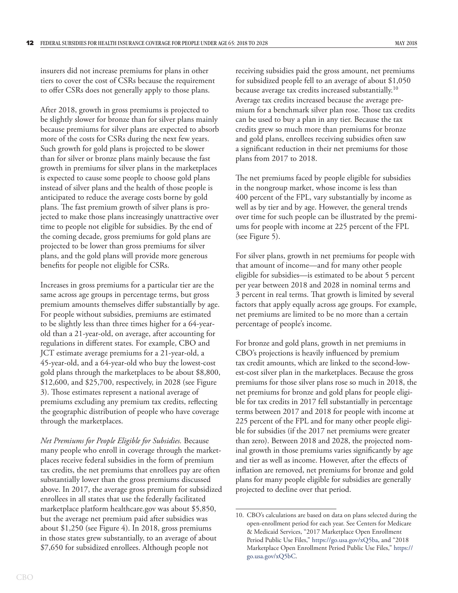insurers did not increase premiums for plans in other tiers to cover the cost of CSRs because the requirement to offer CSRs does not generally apply to those plans.

After 2018, growth in gross premiums is projected to be slightly slower for bronze than for silver plans mainly because premiums for silver plans are expected to absorb more of the costs for CSRs during the next few years. Such growth for gold plans is projected to be slower than for silver or bronze plans mainly because the fast growth in premiums for silver plans in the marketplaces is expected to cause some people to choose gold plans instead of silver plans and the health of those people is anticipated to reduce the average costs borne by gold plans. The fast premium growth of silver plans is projected to make those plans increasingly unattractive over time to people not eligible for subsidies. By the end of the coming decade, gross premiums for gold plans are projected to be lower than gross premiums for silver plans, and the gold plans will provide more generous benefits for people not eligible for CSRs.

Increases in gross premiums for a particular tier are the same across age groups in percentage terms, but gross premium amounts themselves differ substantially by age. For people without subsidies, premiums are estimated to be slightly less than three times higher for a 64-yearold than a 21-year-old, on average, after accounting for regulations in different states. For example, CBO and JCT estimate average premiums for a 21-year-old, a 45-year-old, and a 64-year-old who buy the lowest-cost gold plans through the marketplaces to be about \$8,800, \$12,600, and \$25,700, respectively, in 2028 (see [Figure](#page-16-0)  [3\)](#page-16-0). Those estimates represent a national average of premiums excluding any premium tax credits, reflecting the geographic distribution of people who have coverage through the marketplaces.

*Net Premiums for People Eligible for Subsidies.* Because many people who enroll in coverage through the marketplaces receive federal subsidies in the form of premium tax credits, the net premiums that enrollees pay are often substantially lower than the gross premiums discussed above. In 2017, the average gross premium for subsidized enrollees in all states that use the federally facilitated marketplace platform healthcare.gov was about \$5,850, but the average net premium paid after subsidies was about \$1,250 (see [Figure 4\)](#page-17-1). In 2018, gross premiums in those states grew substantially, to an average of about \$7,650 for subsidized enrollees. Although people not

receiving subsidies paid the gross amount, net premiums for subsidized people fell to an average of about \$1,050 because average tax credits increased substantially.<sup>10</sup> Average tax credits increased because the average premium for a benchmark silver plan rose. Those tax credits can be used to buy a plan in any tier. Because the tax credits grew so much more than premiums for bronze and gold plans, enrollees receiving subsidies often saw a significant reduction in their net premiums for those plans from 2017 to 2018.

The net premiums faced by people eligible for subsidies in the nongroup market, whose income is less than 400 percent of the FPL, vary substantially by income as well as by tier and by age. However, the general trends over time for such people can be illustrated by the premiums for people with income at 225 percent of the FPL (see [Figure 5\)](#page-18-0).

For silver plans, growth in net premiums for people with that amount of income—and for many other people eligible for subsidies—is estimated to be about 5 percent per year between 2018 and 2028 in nominal terms and 3 percent in real terms. That growth is limited by several factors that apply equally across age groups. For example, net premiums are limited to be no more than a certain percentage of people's income.

For bronze and gold plans, growth in net premiums in CBO's projections is heavily influenced by premium tax credit amounts, which are linked to the second-lowest-cost silver plan in the marketplaces. Because the gross premiums for those silver plans rose so much in 2018, the net premiums for bronze and gold plans for people eligible for tax credits in 2017 fell substantially in percentage terms between 2017 and 2018 for people with income at 225 percent of the FPL and for many other people eligible for subsidies (if the 2017 net premiums were greater than zero). Between 2018 and 2028, the projected nominal growth in those premiums varies significantly by age and tier as well as income. However, after the effects of inflation are removed, net premiums for bronze and gold plans for many people eligible for subsidies are generally projected to decline over that period.

<sup>10.</sup> CBO's calculations are based on data on plans selected during the open-enrollment period for each year. See Centers for Medicare & Medicaid Services, "2017 Marketplace Open Enrollment Period Public Use Files," <https://go.usa.gov/xQ5ba>, and "2018 Marketplace Open Enrollment Period Public Use Files," [https://](https://go.usa.gov/xQ5bC) [go.usa.gov/xQ5bC](https://go.usa.gov/xQ5bC).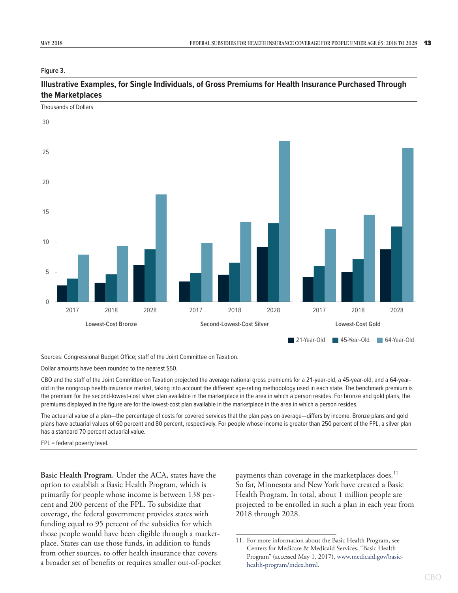#### <span id="page-16-1"></span><span id="page-16-0"></span>**Figure 3.**

Thousands of Dollars

#### **Illustrative Examples, for Single Individuals, of Gross Premiums for Health Insurance Purchased Through the Marketplaces**

2017 2018 2028 2017 2018 2028 2017 2018 2028 0 5 10 15 20 25 30 2018 2028 **Lowest-Cost Bronze Second-Lowest-Cost Silver Lowest-Cost Gold** 21-Year-Old 45-Year-Old 64-Year-Old

Sources: Congressional Budget Office; staff of the Joint Committee on Taxation.

Dollar amounts have been rounded to the nearest \$50.

CBO and the staff of the Joint Committee on Taxation projected the average national gross premiums for a 21-year-old, a 45-year-old, and a 64-yearold in the nongroup health insurance market, taking into account the different age-rating methodology used in each state. The benchmark premium is the premium for the second-lowest-cost silver plan available in the marketplace in the area in which a person resides. For bronze and gold plans, the premiums displayed in the figure are for the lowest-cost plan available in the marketplace in the area in which a person resides.

The actuarial value of a plan—the percentage of costs for covered services that the plan pays on average—differs by income. Bronze plans and gold plans have actuarial values of 60 percent and 80 percent, respectively. For people whose income is greater than 250 percent of the FPL, a silver plan has a standard 70 percent actuarial value.

FPL = federal poverty level.

**Basic Health Program.** Under the ACA, states have the option to establish a Basic Health Program, which is primarily for people whose income is between 138 percent and 200 percent of the FPL. To subsidize that coverage, the federal government provides states with funding equal to 95 percent of the subsidies for which those people would have been eligible through a marketplace. States can use those funds, in addition to funds from other sources, to offer health insurance that covers a broader set of benefits or requires smaller out-of-pocket

payments than coverage in the marketplaces does.<sup>11</sup> So far, Minnesota and New York have created a Basic Health Program. In total, about 1 million people are projected to be enrolled in such a plan in each year from 2018 through 2028.

<sup>11.</sup> For more information about the Basic Health Program, see Centers for Medicare & Medicaid Services, "Basic Health Program" (accessed May 1, 2017), [www.medicaid.gov/basic](http://www.medicaid.gov/basic-health-program/index.html)[health-program/index.html.](http://www.medicaid.gov/basic-health-program/index.html)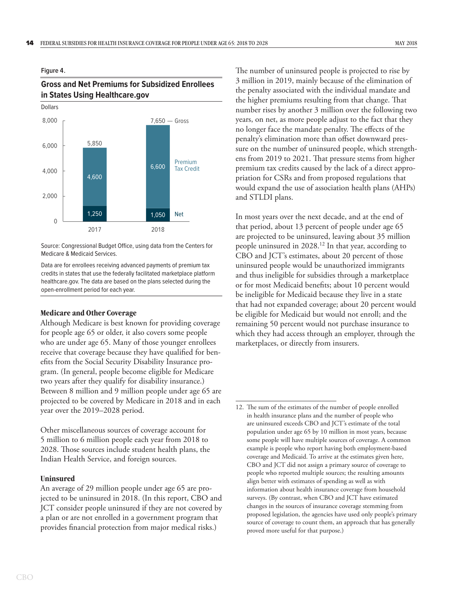#### <span id="page-17-1"></span><span id="page-17-0"></span>**Figure 4.**

#### **Gross and Net Premiums for Subsidized Enrollees in States Using Healthcare.gov**



Source: Congressional Budget Office, using data from the Centers for Medicare & Medicaid Services.

Data are for enrollees receiving advanced payments of premium tax credits in states that use the federally facilitated marketplace platform healthcare.gov. The data are based on the plans selected during the open-enrollment period for each year.

#### **Medicare and Other Coverage**

Although Medicare is best known for providing coverage for people age 65 or older, it also covers some people who are under age 65. Many of those younger enrollees receive that coverage because they have qualified for benefits from the Social Security Disability Insurance program. (In general, people become eligible for Medicare two years after they qualify for disability insurance.) Between 8 million and 9 million people under age 65 are projected to be covered by Medicare in 2018 and in each year over the 2019–2028 period.

Other miscellaneous sources of coverage account for 5 million to 6 million people each year from 2018 to 2028. Those sources include student health plans, the Indian Health Service, and foreign sources.

#### **Uninsured**

An average of 29 million people under age 65 are projected to be uninsured in 2018. (In this report, CBO and JCT consider people uninsured if they are not covered by a plan or are not enrolled in a government program that provides financial protection from major medical risks.)

The number of uninsured people is projected to rise by 3 million in 2019, mainly because of the elimination of the penalty associated with the individual mandate and the higher premiums resulting from that change. That number rises by another 3 million over the following two years, on net, as more people adjust to the fact that they no longer face the mandate penalty. The effects of the penalty's elimination more than offset downward pressure on the number of uninsured people, which strengthens from 2019 to 2021. That pressure stems from higher premium tax credits caused by the lack of a direct appropriation for CSRs and from proposed regulations that would expand the use of association health plans (AHPs) and STLDI plans.

In most years over the next decade, and at the end of that period, about 13 percent of people under age 65 are projected to be uninsured, leaving about 35 million people uninsured in 2028.12 In that year, according to CBO and JCT's estimates, about 20 percent of those uninsured people would be unauthorized immigrants and thus ineligible for subsidies through a marketplace or for most Medicaid benefits; about 10 percent would be ineligible for Medicaid because they live in a state that had not expanded coverage; about 20 percent would be eligible for Medicaid but would not enroll; and the remaining 50 percent would not purchase insurance to which they had access through an employer, through the marketplaces, or directly from insurers.

<sup>12.</sup> The sum of the estimates of the number of people enrolled in health insurance plans and the number of people who are uninsured exceeds CBO and JCT's estimate of the total population under age 65 by 10 million in most years, because some people will have multiple sources of coverage. A common example is people who report having both employment-based coverage and Medicaid. To arrive at the estimates given here, CBO and JCT did not assign a primary source of coverage to people who reported multiple sources; the resulting amounts align better with estimates of spending as well as with information about health insurance coverage from household surveys. (By contrast, when CBO and JCT have estimated changes in the sources of insurance coverage stemming from proposed legislation, the agencies have used only people's primary source of coverage to count them, an approach that has generally proved more useful for that purpose.)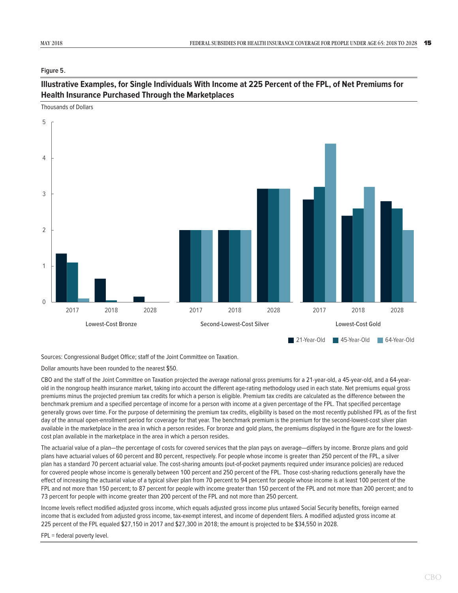<span id="page-18-1"></span><span id="page-18-0"></span>**Figure 5.**

#### **Illustrative Examples, for Single Individuals With Income at 225 Percent of the FPL, of Net Premiums for Health Insurance Purchased Through the Marketplaces**



Sources: Congressional Budget Office; staff of the Joint Committee on Taxation.

Dollar amounts have been rounded to the nearest \$50.

CBO and the staff of the Joint Committee on Taxation projected the average national gross premiums for a 21-year-old, a 45-year-old, and a 64-yearold in the nongroup health insurance market, taking into account the different age-rating methodology used in each state. Net premiums equal gross premiums minus the projected premium tax credits for which a person is eligible. Premium tax credits are calculated as the difference between the benchmark premium and a specified percentage of income for a person with income at a given percentage of the FPL. That specified percentage generally grows over time. For the purpose of determining the premium tax credits, eligibility is based on the most recently published FPL as of the first day of the annual open-enrollment period for coverage for that year. The benchmark premium is the premium for the second-lowest-cost silver plan available in the marketplace in the area in which a person resides. For bronze and gold plans, the premiums displayed in the figure are for the lowestcost plan available in the marketplace in the area in which a person resides.

The actuarial value of a plan—the percentage of costs for covered services that the plan pays on average—differs by income. Bronze plans and gold plans have actuarial values of 60 percent and 80 percent, respectively. For people whose income is greater than 250 percent of the FPL, a silver plan has a standard 70 percent actuarial value. The cost-sharing amounts (out-of-pocket payments required under insurance policies) are reduced for covered people whose income is generally between 100 percent and 250 percent of the FPL. Those cost-sharing reductions generally have the effect of increasing the actuarial value of a typical silver plan from 70 percent to 94 percent for people whose income is at least 100 percent of the FPL and not more than 150 percent; to 87 percent for people with income greater than 150 percent of the FPL and not more than 200 percent; and to 73 percent for people with income greater than 200 percent of the FPL and not more than 250 percent.

Income levels reflect modified adjusted gross income, which equals adjusted gross income plus untaxed Social Security benefits, foreign earned income that is excluded from adjusted gross income, tax-exempt interest, and income of dependent filers. A modified adjusted gross income at 225 percent of the FPL equaled \$27,150 in 2017 and \$27,300 in 2018; the amount is projected to be \$34,550 in 2028.

#### FPL = federal poverty level.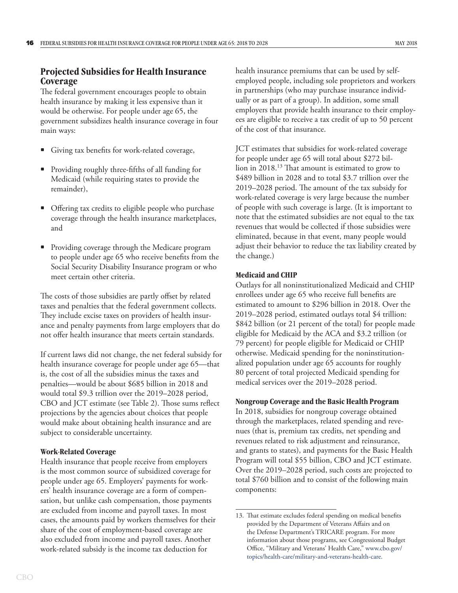#### <span id="page-19-0"></span>**Projected Subsidies for Health Insurance Coverage**

The federal government encourages people to obtain health insurance by making it less expensive than it would be otherwise. For people under age 65, the government subsidizes health insurance coverage in four main ways:

- Giving tax benefits for work-related coverage,
- Providing roughly three-fifths of all funding for Medicaid (while requiring states to provide the remainder),
- Offering tax credits to eligible people who purchase coverage through the health insurance marketplaces, and
- Providing coverage through the Medicare program to people under age 65 who receive benefits from the Social Security Disability Insurance program or who meet certain other criteria.

The costs of those subsidies are partly offset by related taxes and penalties that the federal government collects. They include excise taxes on providers of health insurance and penalty payments from large employers that do not offer health insurance that meets certain standards.

If current laws did not change, the net federal subsidy for health insurance coverage for people under age 65—that is, the cost of all the subsidies minus the taxes and penalties—would be about \$685 billion in 2018 and would total \$9.3 trillion over the 2019–2028 period, CBO and JCT estimate (see [Table 2\)](#page-21-0). Those sums reflect projections by the agencies about choices that people would make about obtaining health insurance and are subject to considerable uncertainty.

#### **Work-Related Coverage**

Health insurance that people receive from employers is the most common source of subsidized coverage for people under age 65. Employers' payments for workers' health insurance coverage are a form of compensation, but unlike cash compensation, those payments are excluded from income and payroll taxes. In most cases, the amounts paid by workers themselves for their share of the cost of employment-based coverage are also excluded from income and payroll taxes. Another work-related subsidy is the income tax deduction for

health insurance premiums that can be used by selfemployed people, including sole proprietors and workers in partnerships (who may purchase insurance individually or as part of a group). In addition, some small employers that provide health insurance to their employees are eligible to receive a tax credit of up to 50 percent of the cost of that insurance.

JCT estimates that subsidies for work-related coverage for people under age 65 will total about \$272 billion in 2018.13 That amount is estimated to grow to \$489 billion in 2028 and to total \$3.7 trillion over the 2019–2028 period. The amount of the tax subsidy for work-related coverage is very large because the number of people with such coverage is large. (It is important to note that the estimated subsidies are not equal to the tax revenues that would be collected if those subsidies were eliminated, because in that event, many people would adjust their behavior to reduce the tax liability created by the change.)

#### **Medicaid and CHIP**

Outlays for all noninstitutionalized Medicaid and CHIP enrollees under age 65 who receive full benefits are estimated to amount to \$296 billion in 2018. Over the 2019–2028 period, estimated outlays total \$4 trillion: \$842 billion (or 21 percent of the total) for people made eligible for Medicaid by the ACA and \$3.2 trillion (or 79 percent) for people eligible for Medicaid or CHIP otherwise. Medicaid spending for the noninstitutionalized population under age 65 accounts for roughly 80 percent of total projected Medicaid spending for medical services over the 2019–2028 period.

#### **Nongroup Coverage and the Basic Health Program**

In 2018, subsidies for nongroup coverage obtained through the marketplaces, related spending and revenues (that is, premium tax credits, net spending and revenues related to risk adjustment and reinsurance, and grants to states), and payments for the Basic Health Program will total \$55 billion, CBO and JCT estimate. Over the 2019–2028 period, such costs are projected to total \$760 billion and to consist of the following main components:

<sup>13.</sup> That estimate excludes federal spending on medical benefits provided by the Department of Veterans Affairs and on the Defense Department's TRICARE program. For more information about those programs, see Congressional Budget Office, "Military and Veterans' Health Care," [www.cbo.gov/](http://www.cbo.gov/topics/health-care/military-and-veterans-health-care) [topics/health-care/military-and-veterans-health-care](http://www.cbo.gov/topics/health-care/military-and-veterans-health-care).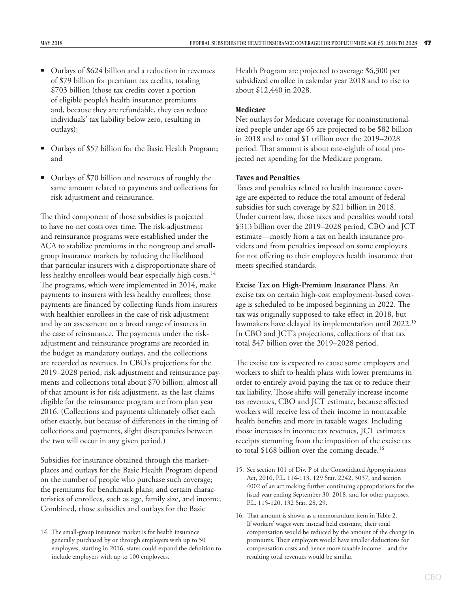- <span id="page-20-0"></span>• Outlays of \$624 billion and a reduction in revenues of \$79 billion for premium tax credits, totaling \$703 billion (those tax credits cover a portion of eligible people's health insurance premiums and, because they are refundable, they can reduce individuals' tax liability below zero, resulting in outlays);
- Outlays of \$57 billion for the Basic Health Program; and
- Outlays of \$70 billion and revenues of roughly the same amount related to payments and collections for risk adjustment and reinsurance.

The third component of those subsidies is projected to have no net costs over time. The risk-adjustment and reinsurance programs were established under the ACA to stabilize premiums in the nongroup and smallgroup insurance markets by reducing the likelihood that particular insurers with a disproportionate share of less healthy enrollees would bear especially high costs.<sup>14</sup> The programs, which were implemented in 2014, make payments to insurers with less healthy enrollees; those payments are financed by collecting funds from insurers with healthier enrollees in the case of risk adjustment and by an assessment on a broad range of insurers in the case of reinsurance. The payments under the riskadjustment and reinsurance programs are recorded in the budget as mandatory outlays, and the collections are recorded as revenues. In CBO's projections for the 2019–2028 period, risk-adjustment and reinsurance payments and collections total about \$70 billion; almost all of that amount is for risk adjustment, as the last claims eligible for the reinsurance program are from plan year 2016. (Collections and payments ultimately offset each other exactly, but because of differences in the timing of collections and payments, slight discrepancies between the two will occur in any given period.)

Subsidies for insurance obtained through the marketplaces and outlays for the Basic Health Program depend on the number of people who purchase such coverage; the premiums for benchmark plans; and certain characteristics of enrollees, such as age, family size, and income. Combined, those subsidies and outlays for the Basic

Health Program are projected to average \$6,300 per subsidized enrollee in calendar year 2018 and to rise to about \$12,440 in 2028.

#### **Medicare**

Net outlays for Medicare coverage for noninstitutionalized people under age 65 are projected to be \$82 billion in 2018 and to total \$1 trillion over the 2019–2028 period. That amount is about one-eighth of total projected net spending for the Medicare program.

#### **Taxes and Penalties**

Taxes and penalties related to health insurance coverage are expected to reduce the total amount of federal subsidies for such coverage by \$21 billion in 2018. Under current law, those taxes and penalties would total \$313 billion over the 2019–2028 period, CBO and JCT estimate—mostly from a tax on health insurance providers and from penalties imposed on some employers for not offering to their employees health insurance that meets specified standards.

#### **Excise Tax on High-Premium Insurance Plans.** An

excise tax on certain high-cost employment-based coverage is scheduled to be imposed beginning in 2022. The tax was originally supposed to take effect in 2018, but lawmakers have delayed its implementation until 2022.<sup>15</sup> In CBO and JCT's projections, collections of that tax total \$47 billion over the 2019–2028 period.

The excise tax is expected to cause some employers and workers to shift to health plans with lower premiums in order to entirely avoid paying the tax or to reduce their tax liability. Those shifts will generally increase income tax revenues, CBO and JCT estimate, because affected workers will receive less of their income in nontaxable health benefits and more in taxable wages. Including those increases in income tax revenues, JCT estimates receipts stemming from the imposition of the excise tax to total \$168 billion over the coming decade.<sup>16</sup>

<sup>14.</sup> The small-group insurance market is for health insurance generally purchased by or through employers with up to 50 employees; starting in 2016, states could expand the definition to include employers with up to 100 employees.

<sup>15.</sup> See section 101 of Div. P of the Consolidated Appropriations Act, 2016, P.L. 114-113, 129 Stat. 2242, 3037, and section 4002 of an act making further continuing appropriations for the fiscal year ending September 30, 2018, and for other purposes, P.L. 115-120, 132 Stat. 28, 29.

<sup>16.</sup> That amount is shown as a memorandum item in Table 2. If workers' wages were instead held constant, their total compensation would be reduced by the amount of the change in premiums. Their employers would have smaller deductions for compensation costs and hence more taxable income—and the resulting total revenues would be similar.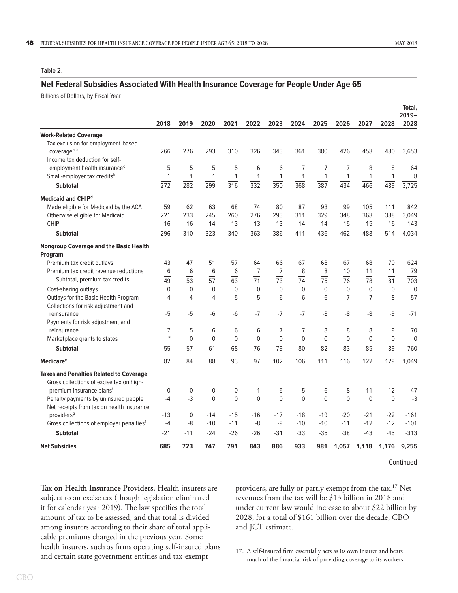#### <span id="page-21-1"></span><span id="page-21-0"></span>**Table 2.**

#### **Net Federal Subsidies Associated With Health Insurance Coverage for People Under Age 65**

Billions of Dollars, by Fiscal Year

|                                                                            | 2018        |                  | 2020             | 2021             |                  | 2023            | 2024            | 2025           | 2026         |                 | 2028         | Total,<br>$2019 -$ |
|----------------------------------------------------------------------------|-------------|------------------|------------------|------------------|------------------|-----------------|-----------------|----------------|--------------|-----------------|--------------|--------------------|
|                                                                            |             | 2019             |                  |                  | 2022             |                 |                 |                |              | 2027            |              | 2028               |
| <b>Work-Related Coverage</b>                                               |             |                  |                  |                  |                  |                 |                 |                |              |                 |              |                    |
| Tax exclusion for employment-based                                         |             |                  |                  |                  |                  |                 |                 |                |              |                 |              |                    |
| coverage <sup>a,b</sup>                                                    | 266         | 276              | 293              | 310              | 326              | 343             | 361             | 380            | 426          | 458             | 480          | 3,653              |
| Income tax deduction for self-<br>employment health insurance <sup>c</sup> | 5           | 5                | 5                | 5                | 6                | 6               | 7               | $\overline{7}$ | 7            | 8               | 8            | 64                 |
| Small-employer tax credits <sup>b</sup>                                    | 1           | 1                | 1                | 1                | $\mathbf{1}$     | 1               | 1               | $\mathbf{1}$   | 1            | 1               | 1            | 8                  |
|                                                                            | 272         | $\overline{282}$ | 299              | 316              | $\overline{332}$ | 350             | 368             | 387            | 434          | 466             | 489          | 3,725              |
| <b>Subtotal</b>                                                            |             |                  |                  |                  |                  |                 |                 |                |              |                 |              |                    |
| <b>Medicaid and CHIP<sup>d</sup></b>                                       |             |                  |                  |                  |                  |                 |                 |                |              |                 |              |                    |
| Made eligible for Medicaid by the ACA                                      | 59          | 62               | 63               | 68               | 74               | 80              | 87              | 93             | 99           | 105             | 111          | 842                |
| Otherwise eligible for Medicaid                                            | 221         | 233              | 245              | 260              | 276              | 293             | 311             | 329            | 348          | 368             | 388          | 3,049              |
| <b>CHIP</b>                                                                | 16          | 16               | 14               | 13               | 13               | 13              | 14              | 14             | 15           | 15              | 16           | 143                |
| <b>Subtotal</b>                                                            | 296         | 310              | 323              | 340              | 363              | 386             | 411             | 436            | 462          | 488             | 514          | 4,034              |
| <b>Nongroup Coverage and the Basic Health</b><br>Program                   |             |                  |                  |                  |                  |                 |                 |                |              |                 |              |                    |
| Premium tax credit outlays                                                 | 43          | 47               | 51               | 57               | 64               | 66              | 67              | 68             | 67           | 68              | 70           | 624                |
| Premium tax credit revenue reductions                                      | 6           | 6                | 6                | 6                | 7                | $\overline{7}$  | 8               | 8              | 10           | 11              | 11           | 79                 |
| Subtotal, premium tax credits                                              | 49          | $\overline{53}$  | 57               | 63               | $\overline{71}$  | $\overline{73}$ | $\overline{74}$ | 75             | 76           | $\overline{78}$ | 81           | 703                |
| Cost-sharing outlays                                                       | $\mathbf 0$ | $\mathbf 0$      | $\boldsymbol{0}$ | $\mathbf 0$      | $\mathbf{0}$     | 0               | $\mathbf 0$     | $\mathbf 0$    | $\mathbf 0$  | $\mathbf 0$     | $\mathbf 0$  | $\boldsymbol{0}$   |
| Outlays for the Basic Health Program                                       | 4           | 4                | 4                | 5                | 5                | 6               | 6               | 6              | 7            | $\overline{7}$  | 8            | 57                 |
| Collections for risk adjustment and                                        |             |                  |                  |                  |                  |                 |                 |                |              |                 |              |                    |
| reinsurance                                                                | $-5$        | $-5$             | $-6$             | $-6$             | $-7$             | $-7$            | $-7$            | -8             | -8           | -8              | $-9$         | $-71$              |
| Payments for risk adjustment and                                           |             |                  |                  |                  |                  |                 |                 |                |              |                 |              |                    |
| reinsurance                                                                | 7           | 5                | 6                | 6                | 6                | 7               | 7               | 8              | 8            | 8               | 9            | 70                 |
| Marketplace grants to states                                               | $\ast$      | $\mathbf 0$      | $\mathbf 0$      | $\boldsymbol{0}$ | $\mathbf 0$      | 0               | $\mathbf 0$     | $\mathbf 0$    | 0            | $\mathbf 0$     | 0            | $\mathbf 0$        |
| <b>Subtotal</b>                                                            | 55          | 57               | 61               | 68               | 76               | 79              | 80              | 82             | 83           | 85              | 89           | 760                |
| <b>Medicare<sup>e</sup></b>                                                | 82          | 84               | 88               | 93               | 97               | 102             | 106             | 111            | 116          | 122             | 129          | 1,049              |
| <b>Taxes and Penalties Related to Coverage</b>                             |             |                  |                  |                  |                  |                 |                 |                |              |                 |              |                    |
| Gross collections of excise tax on high-                                   |             |                  |                  |                  |                  |                 |                 |                |              |                 |              |                    |
| premium insurance plans <sup>f</sup>                                       | $\mathbf 0$ | 0                | $\mathbf 0$      | 0                | $-1$             | -5              | -5              | -6             | -8           | $-11$           | $-12$        | -47                |
| Penalty payments by uninsured people                                       | $-4$        | $-3$             | $\mathbf{0}$     | $\Omega$         | $\Omega$         | $\overline{0}$  | $\mathbf{0}$    | $\mathbf{0}$   | $\mathbf{0}$ | $\mathbf{0}$    | $\mathbf{0}$ | $-3$               |
| Net receipts from tax on health insurance                                  |             |                  |                  |                  |                  |                 |                 |                |              |                 |              |                    |
| providers <sup>9</sup>                                                     | $-13$       | $\mathbf 0$      | $-14$            | $-15$            | $-16$            | $-17$           | $-18$           | $-19$          | $-20$        | $-21$           | $-22$        | $-161$             |
| Gross collections of employer penaltiesf                                   | -4          | -8               | $-10$            | $-11$            | -8               | -9              | $-10$           | $-10$          | $-11$        | $-12$           | $-12$        | $-101$             |
| <b>Subtotal</b>                                                            | $-21$       | $-11$            | $-24$            | $-26$            | $-26$            | $-31$           | $-33$           | $-35$          | $-38$        | $-43$           | $-45$        | $-313$             |
| <b>Net Subsidies</b>                                                       | 685         | 723              | 747              | 791              | 843              | 886             | 933             | 981            | 1,057        | 1,118           | 1,176        | 9.255              |
|                                                                            |             |                  |                  |                  |                  |                 |                 |                |              |                 |              | Continued          |

**Tax on Health Insurance Providers.** Health insurers are subject to an excise tax (though legislation eliminated it for calendar year 2019). The law specifies the total amount of tax to be assessed, and that total is divided among insurers according to their share of total applicable premiums charged in the previous year. Some health insurers, such as firms operating self-insured plans and certain state government entities and tax-exempt

providers, are fully or partly exempt from the tax.17 Net revenues from the tax will be \$13 billion in 2018 and under current law would increase to about \$22 billion by 2028, for a total of \$161 billion over the decade, CBO and JCT estimate.

<sup>17.</sup> A self-insured firm essentially acts as its own insurer and bears much of the financial risk of providing coverage to its workers.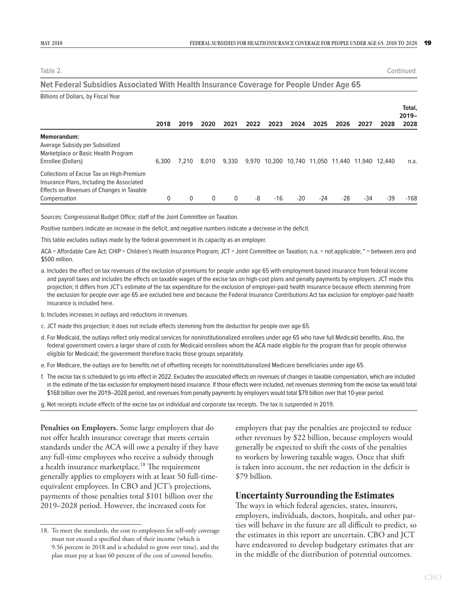<span id="page-22-0"></span>Table 2. Continued

#### **Net Federal Subsidies Associated With Health Insurance Coverage for People Under Age 65**

| Billions of Dollars, by Fiscal Year                                                                                                                 |       |       |              |          |      |      |       |       |                                          |      |        |                            |
|-----------------------------------------------------------------------------------------------------------------------------------------------------|-------|-------|--------------|----------|------|------|-------|-------|------------------------------------------|------|--------|----------------------------|
|                                                                                                                                                     | 2018  | 2019  | 2020         | 2021     | 2022 | 2023 | 2024  | 2025  | 2026                                     | 2027 | 2028   | Total,<br>$2019 -$<br>2028 |
| <b>Memorandum:</b><br>Average Subsidy per Subsidized<br>Marketplace or Basic Health Program<br>Enrollee (Dollars)                                   | 6.300 | 7.210 | 8.010        | 9.330    |      |      |       |       | 9.970 10.200 10.740 11.050 11.440 11.940 |      | 12.440 | n.a.                       |
| Collections of Excise Tax on High-Premium<br>Insurance Plans, Including the Associated<br>Effects on Revenues of Changes in Taxable<br>Compensation | 0     |       | $\mathbf{0}$ | $\Omega$ | -8   | -16  | $-20$ | $-24$ | $-28$                                    | -34  | -39    | $-168$                     |

Sources: Congressional Budget Office; staff of the Joint Committee on Taxation.

Positive numbers indicate an increase in the deficit, and negative numbers indicate a decrease in the deficit.

This table excludes outlays made by the federal government in its capacity as an employer.

ACA = Affordable Care Act; CHIP = Children's Health Insurance Program; JCT = Joint Committee on Taxation; n.a. = not applicable; \* = between zero and \$500 million.

- a. Includes the effect on tax revenues of the exclusion of premiums for people under age 65 with employment-based insurance from federal income and payroll taxes and includes the effects on taxable wages of the excise tax on high-cost plans and penalty payments by employers. JCT made this projection; it differs from JCT's estimate of the tax expenditure for the exclusion of employer-paid health insurance because effects stemming from the exclusion for people over age 65 are excluded here and because the Federal Insurance Contributions Act tax exclusion for employer-paid health insurance is included here.
- b. Includes increases in outlays and reductions in revenues.
- c. JCT made this projection; it does not include effects stemming from the deduction for people over age 65.
- d. For Medicaid, the outlays reflect only medical services for noninstitutionalized enrollees under age 65 who have full Medicaid benefits. Also, the federal government covers a larger share of costs for Medicaid enrollees whom the ACA made eligible for the program than for people otherwise eligible for Medicaid; the government therefore tracks those groups separately.
- e. For Medicare, the outlays are for benefits net of offsetting receipts for noninstitutionalized Medicare beneficiaries under age 65.
- f. The excise tax is scheduled to go into effect in 2022. Excludes the associated effects on revenues of changes in taxable compensation, which are included in the estimate of the tax exclusion for employment-based insurance. If those effects were included, net revenues stemming from the excise tax would total \$168 billion over the 2019–2028 period, and revenues from penalty payments by employers would total \$79 billion over that 10-year period.
- g. Net receipts include effects of the excise tax on individual and corporate tax receipts. The tax is suspended in 2019.

**Penalties on Employers.** Some large employers that do not offer health insurance coverage that meets certain standards under the ACA will owe a penalty if they have any full-time employees who receive a subsidy through a health insurance marketplace.<sup>18</sup> The requirement generally applies to employers with at least 50 full-timeequivalent employees. In CBO and JCT's projections, payments of those penalties total \$101 billion over the 2019–2028 period. However, the increased costs for

employers that pay the penalties are projected to reduce other revenues by \$22 billion, because employers would generally be expected to shift the costs of the penalties to workers by lowering taxable wages. Once that shift is taken into account, the net reduction in the deficit is \$79 billion.

#### **Uncertainty Surrounding the Estimates**

The ways in which federal agencies, states, insurers, employers, individuals, doctors, hospitals, and other parties will behave in the future are all difficult to predict, so the estimates in this report are uncertain. CBO and JCT have endeavored to develop budgetary estimates that are in the middle of the distribution of potential outcomes.

<sup>18.</sup> To meet the standards, the cost to employees for self-only coverage must not exceed a specified share of their income (which is 9.56 percent in 2018 and is scheduled to grow over time), and the plan must pay at least 60 percent of the cost of covered benefits.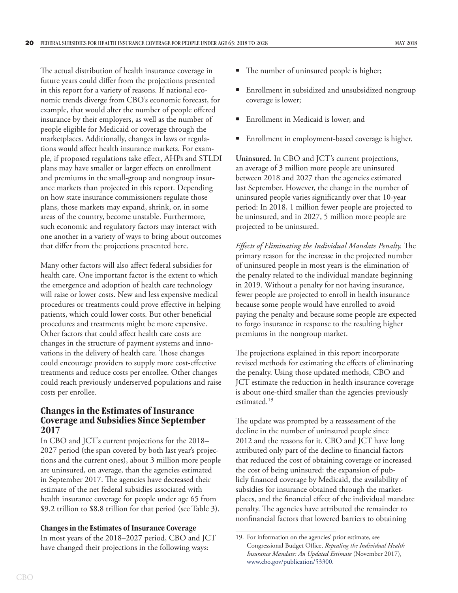<span id="page-23-0"></span>The actual distribution of health insurance coverage in future years could differ from the projections presented in this report for a variety of reasons. If national economic trends diverge from CBO's economic forecast, for example, that would alter the number of people offered insurance by their employers, as well as the number of people eligible for Medicaid or coverage through the marketplaces. Additionally, changes in laws or regulations would affect health insurance markets. For example, if proposed regulations take effect, AHPs and STLDI plans may have smaller or larger effects on enrollment and premiums in the small-group and nongroup insurance markets than projected in this report. Depending on how state insurance commissioners regulate those plans, those markets may expand, shrink, or, in some areas of the country, become unstable. Furthermore, such economic and regulatory factors may interact with one another in a variety of ways to bring about outcomes that differ from the projections presented here.

Many other factors will also affect federal subsidies for health care. One important factor is the extent to which the emergence and adoption of health care technology will raise or lower costs. New and less expensive medical procedures or treatments could prove effective in helping patients, which could lower costs. But other beneficial procedures and treatments might be more expensive. Other factors that could affect health care costs are changes in the structure of payment systems and innovations in the delivery of health care. Those changes could encourage providers to supply more cost-effective treatments and reduce costs per enrollee. Other changes could reach previously underserved populations and raise costs per enrollee.

#### **Changes in the Estimates of Insurance Coverage and Subsidies Since September 2017**

In CBO and JCT's current projections for the 2018– 2027 period (the span covered by both last year's projections and the current ones), about 3 million more people are uninsured, on average, than the agencies estimated in September 2017. The agencies have decreased their estimate of the net federal subsidies associated with health insurance coverage for people under age 65 from \$9.2 trillion to \$8.8 trillion for that period (see [Table 3](#page-25-0)).

#### **Changes in the Estimates of Insurance Coverage**

In most years of the 2018–2027 period, CBO and JCT have changed their projections in the following ways:

- The number of uninsured people is higher;
- Enrollment in subsidized and unsubsidized nongroup coverage is lower;
- Enrollment in Medicaid is lower; and
- Enrollment in employment-based coverage is higher.

**Uninsured.** In CBO and JCT's current projections, an average of 3 million more people are uninsured between 2018 and 2027 than the agencies estimated last September. However, the change in the number of uninsured people varies significantly over that 10-year period: In 2018, 1 million fewer people are projected to be uninsured, and in 2027, 5 million more people are projected to be uninsured.

*Effects of Eliminating the Individual Mandate Penalty.* The primary reason for the increase in the projected number of uninsured people in most years is the elimination of the penalty related to the individual mandate beginning in 2019. Without a penalty for not having insurance, fewer people are projected to enroll in health insurance because some people would have enrolled to avoid paying the penalty and because some people are expected to forgo insurance in response to the resulting higher premiums in the nongroup market.

The projections explained in this report incorporate revised methods for estimating the effects of eliminating the penalty. Using those updated methods, CBO and JCT estimate the reduction in health insurance coverage is about one-third smaller than the agencies previously estimated.19

The update was prompted by a reassessment of the decline in the number of uninsured people since 2012 and the reasons for it. CBO and JCT have long attributed only part of the decline to financial factors that reduced the cost of obtaining coverage or increased the cost of being uninsured: the expansion of publicly financed coverage by Medicaid, the availability of subsidies for insurance obtained through the marketplaces, and the financial effect of the individual mandate penalty. The agencies have attributed the remainder to nonfinancial factors that lowered barriers to obtaining

<sup>19.</sup> For information on the agencies' prior estimate, see Congressional Budget Office, *Repealing the Individual Health Insurance Mandate: An Updated Estimate* (November 2017), [www.cbo.gov/publication/53300](http://www.cbo.gov/publication/53300).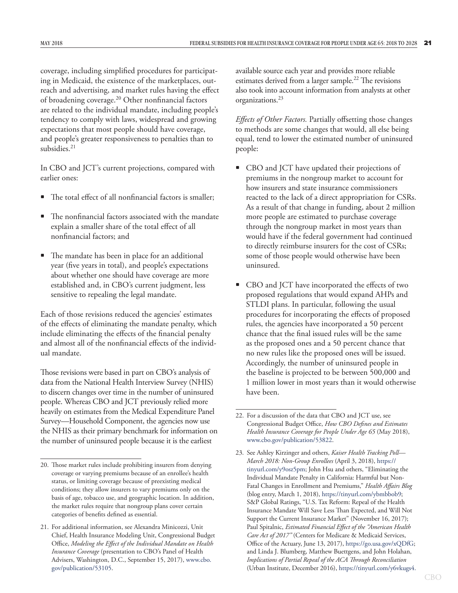coverage, including simplified procedures for participating in Medicaid, the existence of the marketplaces, outreach and advertising, and market rules having the effect of broadening coverage.20 Other nonfinancial factors are related to the individual mandate, including people's tendency to comply with laws, widespread and growing expectations that most people should have coverage, and people's greater responsiveness to penalties than to subsidies.<sup>21</sup>

In CBO and JCT's current projections, compared with earlier ones:

- The total effect of all nonfinancial factors is smaller;
- The nonfinancial factors associated with the mandate explain a smaller share of the total effect of all nonfinancial factors; and
- The mandate has been in place for an additional year (five years in total), and people's expectations about whether one should have coverage are more established and, in CBO's current judgment, less sensitive to repealing the legal mandate.

Each of those revisions reduced the agencies' estimates of the effects of eliminating the mandate penalty, which include eliminating the effects of the financial penalty and almost all of the nonfinancial effects of the individual mandate.

Those revisions were based in part on CBO's analysis of data from the National Health Interview Survey (NHIS) to discern changes over time in the number of uninsured people. Whereas CBO and JCT previously relied more heavily on estimates from the Medical Expenditure Panel Survey—Household Component, the agencies now use the NHIS as their primary benchmark for information on the number of uninsured people because it is the earliest

available source each year and provides more reliable estimates derived from a larger sample.<sup>22</sup> The revisions also took into account information from analysts at other organizations.23

*Effects of Other Factors.* Partially offsetting those changes to methods are some changes that would, all else being equal, tend to lower the estimated number of uninsured people:

- CBO and JCT have updated their projections of premiums in the nongroup market to account for how insurers and state insurance commissioners reacted to the lack of a direct appropriation for CSRs. As a result of that change in funding, about 2 million more people are estimated to purchase coverage through the nongroup market in most years than would have if the federal government had continued to directly reimburse insurers for the cost of CSRs; some of those people would otherwise have been uninsured.
- CBO and JCT have incorporated the effects of two proposed regulations that would expand AHPs and STLDI plans. In particular, following the usual procedures for incorporating the effects of proposed rules, the agencies have incorporated a 50 percent chance that the final issued rules will be the same as the proposed ones and a 50 percent chance that no new rules like the proposed ones will be issued. Accordingly, the number of uninsured people in the baseline is projected to be between 500,000 and 1 million lower in most years than it would otherwise have been.

<sup>20.</sup> Those market rules include prohibiting insurers from denying coverage or varying premiums because of an enrollee's health status, or limiting coverage because of preexisting medical conditions; they allow insurers to vary premiums only on the basis of age, tobacco use, and geographic location. In addition, the market rules require that nongroup plans cover certain categories of benefits defined as essential.

<sup>21.</sup> For additional information, see Alexandra Minicozzi, Unit Chief, Health Insurance Modeling Unit, Congressional Budget Office, *Modeling the Effect of the Individual Mandate on Health Insurance Coverage* (presentation to CBO's Panel of Health Advisers, Washington, D.C., September 15, 2017), [www.cbo.](http://www.cbo.gov/publication/53105) [gov/publication/53105](http://www.cbo.gov/publication/53105).

<sup>22.</sup> For a discussion of the data that CBO and JCT use, see Congressional Budget Office, *How CBO Defines and Estimates Health Insurance Coverage for People Under Age 65* (May 2018), [www.cbo.gov/publication/53822](http://www.cbo.gov/publication/53822).

<sup>23.</sup> See Ashley Kirzinger and others, *Kaiser Health Tracking Poll— March 2018: Non-Group Enrollees* (April 3, 2018), [https://](https://tinyurl.com/y9osz5pm) [tinyurl.com/y9osz5pm](https://tinyurl.com/y9osz5pm); John Hsu and others, "Eliminating the Individual Mandate Penalty in California: Harmful but Non-Fatal Changes in Enrollment and Premiums," *Health Affairs Blog* (blog entry, March 1, 2018), [https://tinyurl.com/ybmbbob9;](https://tinyurl.com/ybmbbob9) S&P Global Ratings, "U.S. Tax Reform: Repeal of the Health Insurance Mandate Will Save Less Than Expected, and Will Not Support the Current Insurance Market" (November 16, 2017); Paul Spitalnic, *Estimated Financial Effect of the "American Health Care Act of 2017"* (Centers for Medicare & Medicaid Services, Office of the Actuary, June 13, 2017),<https://go.usa.gov/xQDfG>; and Linda J. Blumberg, Matthew Buettgens, and John Holahan, *Implications of Partial Repeal of the ACA Through Reconciliation* (Urban Institute, December 2016),<https://tinyurl.com/y6vkugs4>.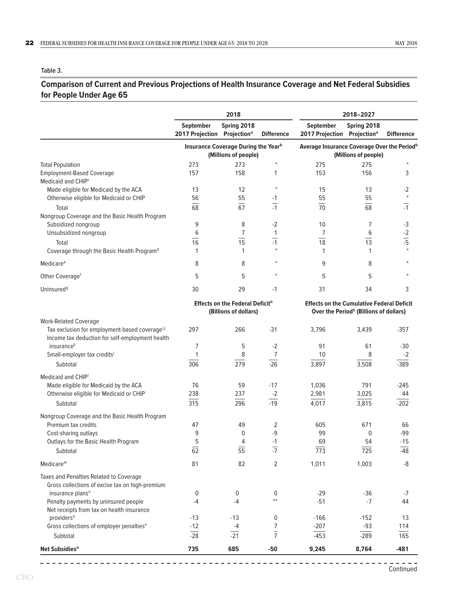#### <span id="page-25-1"></span><span id="page-25-0"></span>**Table 3.**

#### **Comparison of Current and Previous Projections of Health Insurance Coverage and Net Federal Subsidies for People Under Age 65**

|                                                                       |                                                      | 2018                                                                |                                | 2018-2027                                                                       |                                                    |                   |  |  |
|-----------------------------------------------------------------------|------------------------------------------------------|---------------------------------------------------------------------|--------------------------------|---------------------------------------------------------------------------------|----------------------------------------------------|-------------------|--|--|
|                                                                       | September<br>2017 Projection Projection <sup>a</sup> | Spring 2018                                                         | <b>Difference</b>              | September<br>2017 Projection Projection <sup>a</sup>                            | Spring 2018                                        | <b>Difference</b> |  |  |
|                                                                       |                                                      | <b>Insurance Coverage During the Year</b> b<br>(Millions of people) |                                | Average Insurance Coverage Over the Period <sup>b</sup><br>(Millions of people) |                                                    |                   |  |  |
| <b>Total Population</b>                                               | 273                                                  | 273                                                                 | $\ast$                         | 275                                                                             | 275                                                |                   |  |  |
| <b>Employment-Based Coverage</b>                                      | 157                                                  | 158                                                                 | 1                              | 153                                                                             | 156                                                | 3                 |  |  |
| Medicaid and CHIP <sup>c</sup>                                        |                                                      |                                                                     |                                |                                                                                 |                                                    |                   |  |  |
| Made eligible for Medicaid by the ACA                                 | 13                                                   | 12                                                                  |                                | 15                                                                              | 13                                                 | $-2$              |  |  |
| Otherwise eligible for Medicaid or CHIP                               | 56                                                   | 55                                                                  | -1<br>$\overline{\phantom{0}}$ | 55                                                                              | 55                                                 | $\ast$            |  |  |
| Total                                                                 | 68                                                   | 67                                                                  | $-1$                           | $\overline{70}$                                                                 | 68                                                 | $-1$              |  |  |
| Nongroup Coverage and the Basic Health Program                        |                                                      |                                                                     |                                |                                                                                 |                                                    |                   |  |  |
| Subsidized nongroup                                                   | 9                                                    | 8                                                                   | $-2$                           | 10                                                                              | 7                                                  | $-3$              |  |  |
| Unsubsidized nongroup                                                 | 6                                                    | $\overline{7}$                                                      | 1                              | 7                                                                               | 6                                                  | $\frac{-2}{-5}$   |  |  |
| Total                                                                 | $\overline{16}$                                      | $\overline{15}$                                                     | $\frac{1}{-1}$                 | $\overline{18}$                                                                 | $\overline{13}$                                    |                   |  |  |
| Coverage through the Basic Health Program <sup>d</sup>                | 1                                                    | 1                                                                   |                                | 1                                                                               | 1                                                  |                   |  |  |
| Medicare <sup>e</sup>                                                 | 8                                                    | 8                                                                   |                                | 9                                                                               | 8                                                  |                   |  |  |
| Other Coverage <sup>f</sup>                                           | 5                                                    | 5                                                                   |                                | 5                                                                               | 5                                                  |                   |  |  |
| Uninsured <sup>9</sup>                                                | 30                                                   | 29                                                                  | $-1$                           | 31                                                                              | 34                                                 | 3                 |  |  |
|                                                                       |                                                      | <b>Effects on the Federal Deficith</b><br>(Billions of dollars)     |                                | <b>Effects on the Cumulative Federal Deficit</b>                                | Over the Period <sup>h</sup> (Billions of dollars) |                   |  |  |
| <b>Work-Related Coverage</b>                                          |                                                      |                                                                     |                                |                                                                                 |                                                    |                   |  |  |
| Tax exclusion for employment-based coveragei,j                        | 297                                                  | 266                                                                 | $-31$                          | 3,796                                                                           | 3,439                                              | $-357$            |  |  |
| Income tax deduction for self-employment health                       |                                                      |                                                                     |                                |                                                                                 |                                                    |                   |  |  |
| insurance <sup>k</sup>                                                | 7                                                    | 5                                                                   | $-2$                           | 91                                                                              | 61                                                 | $-30$             |  |  |
| Small-employer tax credits <sup>j</sup>                               | 1                                                    | 8                                                                   | 7                              | 10                                                                              | 8                                                  | $-2$              |  |  |
| Subtotal                                                              | 306                                                  | 279                                                                 | $-26$                          | 3,897                                                                           | 3,508                                              | $-389$            |  |  |
| Medicaid and CHIP                                                     |                                                      |                                                                     |                                |                                                                                 |                                                    |                   |  |  |
| Made eligible for Medicaid by the ACA                                 | 76                                                   | 59                                                                  | $-17$                          | 1,036                                                                           | 791                                                | $-245$            |  |  |
| Otherwise eligible for Medicaid or CHIP                               | 238                                                  | 237                                                                 | $-2$                           | 2,981                                                                           | 3,025                                              | 44                |  |  |
| Subtotal                                                              | 315                                                  | 296                                                                 | $-19$                          | 4,017                                                                           | 3,815                                              | $-202$            |  |  |
|                                                                       |                                                      |                                                                     |                                |                                                                                 |                                                    |                   |  |  |
| Nongroup Coverage and the Basic Health Program<br>Premium tax credits | 47                                                   | 49                                                                  | 2                              | 605                                                                             | 671                                                | 66                |  |  |
| Cost-sharing outlays                                                  | 9                                                    | $\mathbf 0$                                                         | -9                             | 99                                                                              | $\mathbf 0$                                        | $-99$             |  |  |
| Outlays for the Basic Health Program                                  | 5                                                    | 4                                                                   | $-1$                           | 69                                                                              | 54                                                 | $-15$             |  |  |
| Subtotal                                                              | $\overline{62}$                                      | 55                                                                  | $\overline{.7}$                | 773                                                                             | 725                                                | $-48$             |  |  |
| $Medicare^m$                                                          | 81                                                   | 82                                                                  | 2                              | 1,011                                                                           | 1,003                                              | -8                |  |  |
| Taxes and Penalties Related to Coverage                               |                                                      |                                                                     |                                |                                                                                 |                                                    |                   |  |  |
| Gross collections of excise tax on high-premium                       |                                                      |                                                                     |                                |                                                                                 |                                                    |                   |  |  |
| insurance plans <sup>n</sup>                                          | 0                                                    | 0                                                                   | 0                              | $-29$                                                                           | $-36$                                              | $-7$              |  |  |
| Penalty payments by uninsured people                                  | $-4$                                                 | $-4$                                                                | $**$                           | $-51$                                                                           | $-7$                                               | 44                |  |  |
| Net receipts from tax on health insurance                             |                                                      |                                                                     |                                |                                                                                 |                                                    |                   |  |  |
| providers <sup>o</sup>                                                | $-13$                                                | $-13$                                                               | 0                              | $-166$                                                                          | $-152$                                             | 13                |  |  |
| Gross collections of employer penalties <sup>n</sup>                  | $-12$                                                | $-4$                                                                | 7                              | $-207$                                                                          | $-93$                                              | 114               |  |  |
| Subtotal                                                              | $-28$                                                | $-21$                                                               | $\overline{7}$                 | $-453$                                                                          | $-289$                                             | 165               |  |  |
| Net Subsidies <sup>o</sup>                                            | 735                                                  | 685                                                                 | $-50$                          | 9,245                                                                           | 8,764                                              | $-481$            |  |  |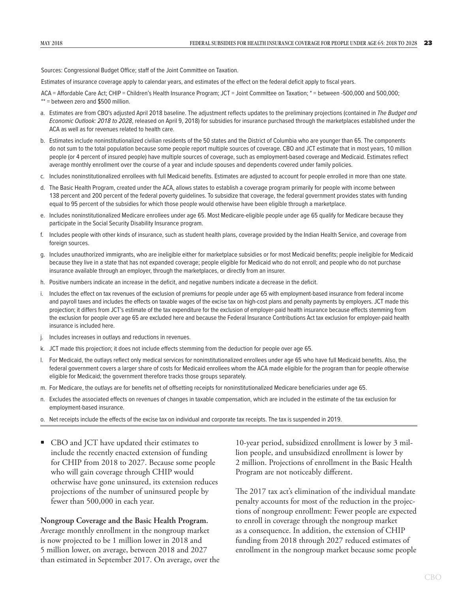Sources: Congressional Budget Office; staff of the Joint Committee on Taxation.

Estimates of insurance coverage apply to calendar years, and estimates of the effect on the federal deficit apply to fiscal years.

- ACA = Affordable Care Act; CHIP = Children's Health Insurance Program; JCT = Joint Committee on Taxation; \* = between -500,000 and 500,000; \*\* = between zero and \$500 million.
- a. Estimates are from CBO's adjusted April 2018 baseline. The adjustment reflects updates to the preliminary projections (contained in *The Budget and Economic Outlook: 2018 to 2028*, released on April 9, 2018) for subsidies for insurance purchased through the marketplaces established under the ACA as well as for revenues related to health care.
- b. Estimates include noninstitutionalized civilian residents of the 50 states and the District of Columbia who are younger than 65. The components do not sum to the total population because some people report multiple sources of coverage. CBO and JCT estimate that in most years, 10 million people (or 4 percent of insured people) have multiple sources of coverage, such as employment-based coverage and Medicaid. Estimates reflect average monthly enrollment over the course of a year and include spouses and dependents covered under family policies.
- c. Includes noninstitutionalized enrollees with full Medicaid benefits. Estimates are adjusted to account for people enrolled in more than one state.
- d. The Basic Health Program, created under the ACA, allows states to establish a coverage program primarily for people with income between 138 percent and 200 percent of the federal poverty guidelines. To subsidize that coverage, the federal government provides states with funding equal to 95 percent of the subsidies for which those people would otherwise have been eligible through a marketplace.
- e. Includes noninstitutionalized Medicare enrollees under age 65. Most Medicare-eligible people under age 65 qualify for Medicare because they participate in the Social Security Disability Insurance program.
- f. Includes people with other kinds of insurance, such as student health plans, coverage provided by the Indian Health Service, and coverage from foreign sources.
- g. Includes unauthorized immigrants, who are ineligible either for marketplace subsidies or for most Medicaid benefits; people ineligible for Medicaid because they live in a state that has not expanded coverage; people eligible for Medicaid who do not enroll; and people who do not purchase insurance available through an employer, through the marketplaces, or directly from an insurer.
- h. Positive numbers indicate an increase in the deficit, and negative numbers indicate a decrease in the deficit.
- i. Includes the effect on tax revenues of the exclusion of premiums for people under age 65 with employment-based insurance from federal income and payroll taxes and includes the effects on taxable wages of the excise tax on high-cost plans and penalty payments by employers. JCT made this projection; it differs from JCT's estimate of the tax expenditure for the exclusion of employer-paid health insurance because effects stemming from the exclusion for people over age 65 are excluded here and because the Federal Insurance Contributions Act tax exclusion for employer-paid health insurance is included here.
- j. Includes increases in outlays and reductions in revenues.
- k. JCT made this projection; it does not include effects stemming from the deduction for people over age 65.
- l. For Medicaid, the outlays reflect only medical services for noninstitutionalized enrollees under age 65 who have full Medicaid benefits. Also, the federal government covers a larger share of costs for Medicaid enrollees whom the ACA made eligible for the program than for people otherwise eligible for Medicaid; the government therefore tracks those groups separately.
- m. For Medicare, the outlays are for benefits net of offsetting receipts for noninstitutionalized Medicare beneficiaries under age 65.
- n. Excludes the associated effects on revenues of changes in taxable compensation, which are included in the estimate of the tax exclusion for employment-based insurance.
- o. Net receipts include the effects of the excise tax on individual and corporate tax receipts. The tax is suspended in 2019.
- CBO and JCT have updated their estimates to include the recently enacted extension of funding for CHIP from 2018 to 2027. Because some people who will gain coverage through CHIP would otherwise have gone uninsured, its extension reduces projections of the number of uninsured people by fewer than 500,000 in each year.

**Nongroup Coverage and the Basic Health Program.** Average monthly enrollment in the nongroup market is now projected to be 1 million lower in 2018 and 5 million lower, on average, between 2018 and 2027 than estimated in September 2017. On average, over the

10-year period, subsidized enrollment is lower by 3 million people, and unsubsidized enrollment is lower by 2 million. Projections of enrollment in the Basic Health Program are not noticeably different.

The 2017 tax act's elimination of the individual mandate penalty accounts for most of the reduction in the projections of nongroup enrollment: Fewer people are expected to enroll in coverage through the nongroup market as a consequence. In addition, the extension of CHIP funding from 2018 through 2027 reduced estimates of enrollment in the nongroup market because some people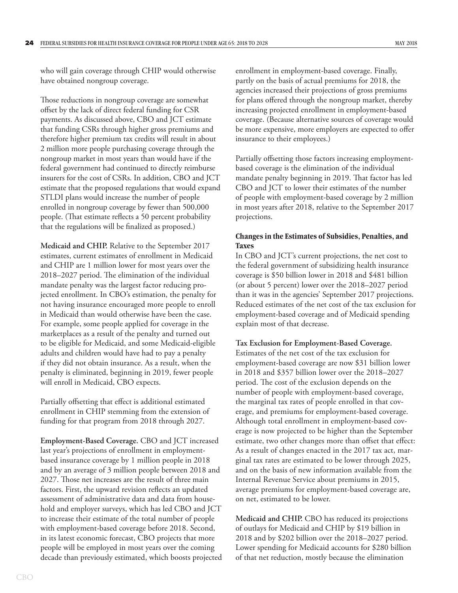<span id="page-27-0"></span>who will gain coverage through CHIP would otherwise have obtained nongroup coverage.

Those reductions in nongroup coverage are somewhat offset by the lack of direct federal funding for CSR payments. As discussed above, CBO and JCT estimate that funding CSRs through higher gross premiums and therefore higher premium tax credits will result in about 2 million more people purchasing coverage through the nongroup market in most years than would have if the federal government had continued to directly reimburse insurers for the cost of CSRs. In addition, CBO and JCT estimate that the proposed regulations that would expand STLDI plans would increase the number of people enrolled in nongroup coverage by fewer than 500,000 people. (That estimate reflects a 50 percent probability that the regulations will be finalized as proposed.)

**Medicaid and CHIP.** Relative to the September 2017 estimates, current estimates of enrollment in Medicaid and CHIP are 1 million lower for most years over the 2018–2027 period. The elimination of the individual mandate penalty was the largest factor reducing projected enrollment. In CBO's estimation, the penalty for not having insurance encouraged more people to enroll in Medicaid than would otherwise have been the case. For example, some people applied for coverage in the marketplaces as a result of the penalty and turned out to be eligible for Medicaid, and some Medicaid-eligible adults and children would have had to pay a penalty if they did not obtain insurance. As a result, when the penalty is eliminated, beginning in 2019, fewer people will enroll in Medicaid, CBO expects.

Partially offsetting that effect is additional estimated enrollment in CHIP stemming from the extension of funding for that program from 2018 through 2027.

**Employment-Based Coverage.** CBO and JCT increased last year's projections of enrollment in employmentbased insurance coverage by 1 million people in 2018 and by an average of 3 million people between 2018 and 2027. Those net increases are the result of three main factors. First, the upward revision reflects an updated assessment of administrative data and data from household and employer surveys, which has led CBO and JCT to increase their estimate of the total number of people with employment-based coverage before 2018. Second, in its latest economic forecast, CBO projects that more people will be employed in most years over the coming decade than previously estimated, which boosts projected enrollment in employment-based coverage. Finally, partly on the basis of actual premiums for 2018, the agencies increased their projections of gross premiums for plans offered through the nongroup market, thereby increasing projected enrollment in employment-based coverage. (Because alternative sources of coverage would be more expensive, more employers are expected to offer insurance to their employees.)

Partially offsetting those factors increasing employmentbased coverage is the elimination of the individual mandate penalty beginning in 2019. That factor has led CBO and JCT to lower their estimates of the number of people with employment-based coverage by 2 million in most years after 2018, relative to the September 2017 projections.

#### **Changes in the Estimates of Subsidies, Penalties, and Taxes**

In CBO and JCT's current projections, the net cost to the federal government of subsidizing health insurance coverage is \$50 billion lower in 2018 and \$481 billion (or about 5 percent) lower over the 2018–2027 period than it was in the agencies' September 2017 projections. Reduced estimates of the net cost of the tax exclusion for employment-based coverage and of Medicaid spending explain most of that decrease.

#### **Tax Exclusion for Employment-Based Coverage.**

Estimates of the net cost of the tax exclusion for employment-based coverage are now \$31 billion lower in 2018 and \$357 billion lower over the 2018–2027 period. The cost of the exclusion depends on the number of people with employment-based coverage, the marginal tax rates of people enrolled in that coverage, and premiums for employment-based coverage. Although total enrollment in employment-based coverage is now projected to be higher than the September estimate, two other changes more than offset that effect: As a result of changes enacted in the 2017 tax act, marginal tax rates are estimated to be lower through 2025, and on the basis of new information available from the Internal Revenue Service about premiums in 2015, average premiums for employment-based coverage are, on net, estimated to be lower.

**Medicaid and CHIP.** CBO has reduced its projections of outlays for Medicaid and CHIP by \$19 billion in 2018 and by \$202 billion over the 2018–2027 period. Lower spending for Medicaid accounts for \$280 billion of that net reduction, mostly because the elimination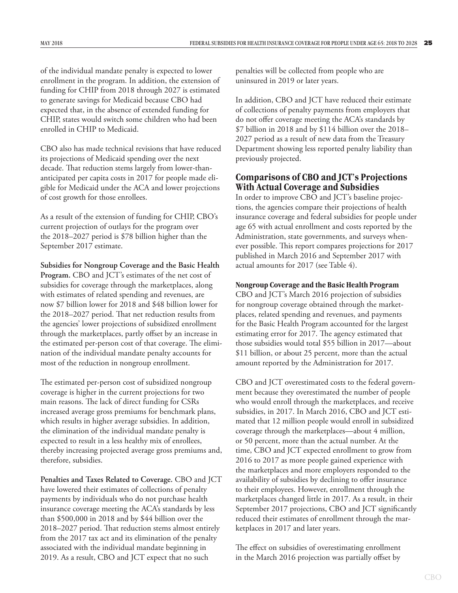<span id="page-28-0"></span>of the individual mandate penalty is expected to lower enrollment in the program. In addition, the extension of funding for CHIP from 2018 through 2027 is estimated to generate savings for Medicaid because CBO had expected that, in the absence of extended funding for CHIP, states would switch some children who had been enrolled in CHIP to Medicaid.

CBO also has made technical revisions that have reduced its projections of Medicaid spending over the next decade. That reduction stems largely from lower-thananticipated per capita costs in 2017 for people made eligible for Medicaid under the ACA and lower projections of cost growth for those enrollees.

As a result of the extension of funding for CHIP, CBO's current projection of outlays for the program over the 2018–2027 period is \$78 billion higher than the September 2017 estimate.

**Subsidies for Nongroup Coverage and the Basic Health Program.** CBO and JCT's estimates of the net cost of subsidies for coverage through the marketplaces, along with estimates of related spending and revenues, are now \$7 billion lower for 2018 and \$48 billion lower for the 2018–2027 period. That net reduction results from the agencies' lower projections of subsidized enrollment through the marketplaces, partly offset by an increase in the estimated per-person cost of that coverage. The elimination of the individual mandate penalty accounts for most of the reduction in nongroup enrollment.

The estimated per-person cost of subsidized nongroup coverage is higher in the current projections for two main reasons. The lack of direct funding for CSRs increased average gross premiums for benchmark plans, which results in higher average subsidies. In addition, the elimination of the individual mandate penalty is expected to result in a less healthy mix of enrollees, thereby increasing projected average gross premiums and, therefore, subsidies.

**Penalties and Taxes Related to Coverage.** CBO and JCT have lowered their estimates of collections of penalty payments by individuals who do not purchase health insurance coverage meeting the ACA's standards by less than \$500,000 in 2018 and by \$44 billion over the 2018–2027 period. That reduction stems almost entirely from the 2017 tax act and its elimination of the penalty associated with the individual mandate beginning in 2019. As a result, CBO and JCT expect that no such

penalties will be collected from people who are uninsured in 2019 or later years.

In addition, CBO and JCT have reduced their estimate of collections of penalty payments from employers that do not offer coverage meeting the ACA's standards by \$7 billion in 2018 and by \$114 billion over the 2018– 2027 period as a result of new data from the Treasury Department showing less reported penalty liability than previously projected.

#### **Comparisons of CBO and JCT's Projections With Actual Coverage and Subsidies**

In order to improve CBO and JCT's baseline projections, the agencies compare their projections of health insurance coverage and federal subsidies for people under age 65 with actual enrollment and costs reported by the Administration, state governments, and surveys whenever possible. This report compares projections for 2017 published in March 2016 and September 2017 with actual amounts for 2017 (see [Table 4](#page-29-1)).

#### **Nongroup Coverage and the Basic Health Program**

CBO and JCT's March 2016 projection of subsidies for nongroup coverage obtained through the marketplaces, related spending and revenues, and payments for the Basic Health Program accounted for the largest estimating error for 2017. The agency estimated that those subsidies would total \$55 billion in 2017—about \$11 billion, or about 25 percent, more than the actual amount reported by the Administration for 2017.

CBO and JCT overestimated costs to the federal government because they overestimated the number of people who would enroll through the marketplaces, and receive subsidies, in 2017. In March 2016, CBO and JCT estimated that 12 million people would enroll in subsidized coverage through the marketplaces—about 4 million, or 50 percent, more than the actual number. At the time, CBO and JCT expected enrollment to grow from 2016 to 2017 as more people gained experience with the marketplaces and more employers responded to the availability of subsidies by declining to offer insurance to their employees. However, enrollment through the marketplaces changed little in 2017. As a result, in their September 2017 projections, CBO and JCT significantly reduced their estimates of enrollment through the marketplaces in 2017 and later years.

The effect on subsidies of overestimating enrollment in the March 2016 projection was partially offset by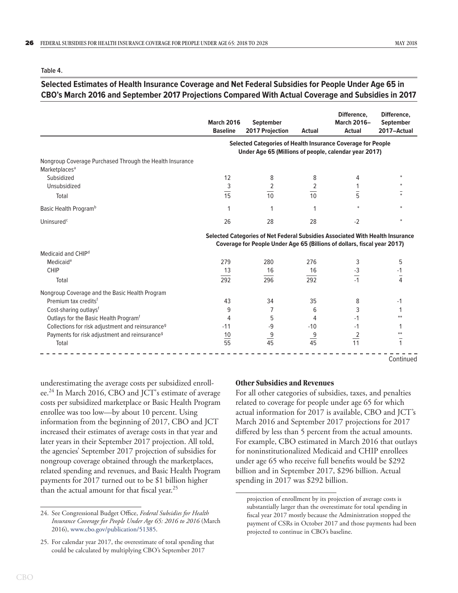<span id="page-29-1"></span><span id="page-29-0"></span>**Table 4.**

#### **Selected Estimates of Health Insurance Coverage and Net Federal Subsidies for People Under Age 65 in CBO's March 2016 and September 2017 Projections Compared With Actual Coverage and Subsidies in 2017**

|                                                                                       | <b>March 2016</b><br><b>Baseline</b>                                                                                                                      | <b>September</b><br>2017 Projection                                                                                         | <b>Actual</b>  | Difference,<br><b>March 2016-</b><br><b>Actual</b> | Difference,<br><b>September</b><br>2017-Actual |  |  |  |
|---------------------------------------------------------------------------------------|-----------------------------------------------------------------------------------------------------------------------------------------------------------|-----------------------------------------------------------------------------------------------------------------------------|----------------|----------------------------------------------------|------------------------------------------------|--|--|--|
|                                                                                       |                                                                                                                                                           | <b>Selected Categories of Health Insurance Coverage for People</b><br>Under Age 65 (Millions of people, calendar year 2017) |                |                                                    |                                                |  |  |  |
| Nongroup Coverage Purchased Through the Health Insurance<br>Marketplaces <sup>a</sup> |                                                                                                                                                           |                                                                                                                             |                |                                                    |                                                |  |  |  |
| Subsidized                                                                            | 12                                                                                                                                                        | 8                                                                                                                           | 8              | 4                                                  |                                                |  |  |  |
| Unsubsidized                                                                          | 3                                                                                                                                                         | 2                                                                                                                           | 2              |                                                    |                                                |  |  |  |
| Total                                                                                 | $\overline{15}$                                                                                                                                           | 10                                                                                                                          | 10             | $\overline{5}$                                     |                                                |  |  |  |
| Basic Health Program <sup>b</sup>                                                     | 1                                                                                                                                                         | 1                                                                                                                           | 1              |                                                    |                                                |  |  |  |
| Uninsured <sup>c</sup>                                                                | 26                                                                                                                                                        | 28                                                                                                                          | 28             | $-2$                                               |                                                |  |  |  |
|                                                                                       | Selected Categories of Net Federal Subsidies Associated With Health Insurance<br>Coverage for People Under Age 65 (Billions of dollars, fiscal year 2017) |                                                                                                                             |                |                                                    |                                                |  |  |  |
| Medicaid and CHIP <sup>d</sup>                                                        |                                                                                                                                                           |                                                                                                                             |                |                                                    |                                                |  |  |  |
| Medicaid <sup>e</sup>                                                                 | 279                                                                                                                                                       | 280                                                                                                                         | 276            | 3                                                  | 5                                              |  |  |  |
| <b>CHIP</b>                                                                           | 13                                                                                                                                                        | 16                                                                                                                          | 16             | $-3$                                               | -1                                             |  |  |  |
| Total                                                                                 | 292                                                                                                                                                       | 296                                                                                                                         | 292            | $\overline{11}$                                    | $\frac{1}{4}$                                  |  |  |  |
| Nongroup Coverage and the Basic Health Program                                        |                                                                                                                                                           |                                                                                                                             |                |                                                    |                                                |  |  |  |
| Premium tax credits <sup>f</sup>                                                      | 43                                                                                                                                                        | 34                                                                                                                          | 35             | 8                                                  | $-1$                                           |  |  |  |
| Cost-sharing outlays <sup>f</sup>                                                     | 9                                                                                                                                                         | 7                                                                                                                           | 6              | 3                                                  |                                                |  |  |  |
| Outlays for the Basic Health Program <sup>f</sup>                                     | 4                                                                                                                                                         | 5                                                                                                                           | 4              | $-1$                                               |                                                |  |  |  |
| Collections for risk adjustment and reinsurance <sup>9</sup>                          | $-11$                                                                                                                                                     | -9                                                                                                                          | $-10$          | $-1$                                               |                                                |  |  |  |
| Payments for risk adjustment and reinsurance <sup>9</sup>                             | 10                                                                                                                                                        | $\frac{9}{45}$                                                                                                              |                | $\frac{2}{11}$                                     |                                                |  |  |  |
| Total                                                                                 | $\overline{55}$                                                                                                                                           |                                                                                                                             | $\frac{9}{45}$ |                                                    | 1                                              |  |  |  |

Continued

underestimating the average costs per subsidized enrollee.24 In March 2016, CBO and JCT's estimate of average costs per subsidized marketplace or Basic Health Program enrollee was too low—by about 10 percent. Using information from the beginning of 2017, CBO and JCT increased their estimates of average costs in that year and later years in their September 2017 projection. All told, the agencies' September 2017 projection of subsidies for nongroup coverage obtained through the marketplaces, related spending and revenues, and Basic Health Program payments for 2017 turned out to be \$1 billion higher than the actual amount for that fiscal year.<sup>25</sup>

#### **Other Subsidies and Revenues**

For all other categories of subsidies, taxes, and penalties related to coverage for people under age 65 for which actual information for 2017 is available, CBO and JCT's March 2016 and September 2017 projections for 2017 differed by less than 5 percent from the actual amounts. For example, CBO estimated in March 2016 that outlays for noninstitutionalized Medicaid and CHIP enrollees under age 65 who receive full benefits would be \$292 billion and in September 2017, \$296 billion. Actual spending in 2017 was \$292 billion.

<sup>24.</sup> See Congressional Budget Office, *Federal Subsidies for Health Insurance Coverage for People Under Age 65: 2016 to 2016* (March 2016), [www.cbo.gov/publication/51385](http://www.cbo.gov/publication/51385).

<sup>25.</sup> For calendar year 2017, the overestimate of total spending that could be calculated by multiplying CBO's September 2017

projection of enrollment by its projection of average costs is substantially larger than the overestimate for total spending in fiscal year 2017 mostly because the Administration stopped the payment of CSRs in October 2017 and those payments had been projected to continue in CBO's baseline.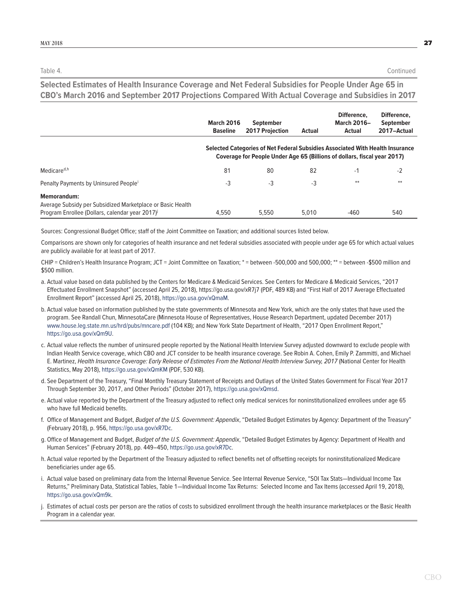Table 4. Continued

**Selected Estimates of Health Insurance Coverage and Net Federal Subsidies for People Under Age 65 in CBO's March 2016 and September 2017 Projections Compared With Actual Coverage and Subsidies in 2017**

|                                                                                                                                    | <b>March 2016</b><br><b>Baseline</b> | <b>September</b><br>2017 Projection                                                                                                                       | <b>Actual</b> | Difference.<br><b>March 2016-</b><br>Actual | Difference.<br><b>September</b><br>2017-Actual |
|------------------------------------------------------------------------------------------------------------------------------------|--------------------------------------|-----------------------------------------------------------------------------------------------------------------------------------------------------------|---------------|---------------------------------------------|------------------------------------------------|
|                                                                                                                                    |                                      | Selected Categories of Net Federal Subsidies Associated With Health Insurance<br>Coverage for People Under Age 65 (Billions of dollars, fiscal year 2017) |               |                                             |                                                |
| Medicare <sup>d,h</sup>                                                                                                            | 81                                   | 80                                                                                                                                                        | 82            | $-1$                                        | $-2$                                           |
| Penalty Payments by Uninsured People <sup>i</sup>                                                                                  | -3                                   | $-3$                                                                                                                                                      | -3            | $**$                                        | $**$                                           |
| <b>Memorandum:</b><br>Average Subsidy per Subsidized Marketplace or Basic Health<br>Program Enrollee (Dollars, calendar year 2017) | 4.550                                | 5.550                                                                                                                                                     | 5.010         | $-460$                                      | 540                                            |

Sources: Congressional Budget Office; staff of the Joint Committee on Taxation; and additional sources listed below.

Comparisons are shown only for categories of health insurance and net federal subsidies associated with people under age 65 for which actual values are publicly available for at least part of 2017.

CHIP = Children's Health Insurance Program; JCT = Joint Committee on Taxation; \* = between -500,000 and 500,000; \*\* = between -\$500 million and \$500 million.

- a. Actual value based on data published by the Centers for Medicare & Medicaid Services. See Centers for Medicare & Medicaid Services, "2017 Effectuated Enrollment Snapshot" (accessed April 25, 2018), https://go.usa.gov/xR7j7 (PDF, 489 KB) and "First Half of 2017 Average Effectuated Enrollment Report" (accessed April 25, 2018), <https://go.usa.gov/xQmaM>.
- b. Actual value based on information published by the state governments of Minnesota and New York, which are the only states that have used the program. See Randall Chun, MinnesotaCare (Minnesota House of Representatives, House Research Department, updated December 2017) [www.house.leg.state.mn.us/hrd/pubs/mncare.pdf](http://www.house.leg.state.mn.us/hrd/pubs/mncare.pdf) (104 KB); and New York State Department of Health, "2017 Open Enrollment Report," <https://go.usa.gov/xQm9U>.
- c. Actual value reflects the number of uninsured people reported by the National Health Interview Survey adjusted downward to exclude people with Indian Health Service coverage, which CBO and JCT consider to be health insurance coverage. See Robin A. Cohen, Emily P. Zammitti, and Michael E. Martinez, *Health Insurance Coverage: Early Release of Estimates From the National Health Interview Survey, 2017* (National Center for Health Statistics, May 2018), <https://go.usa.gov/xQmKM> (PDF, 530 KB).
- d. See Department of the Treasury, "Final Monthly Treasury Statement of Receipts and Outlays of the United States Government for Fiscal Year 2017 Through September 30, 2017, and Other Periods" (October 2017), <https://go.usa.gov/xQmsd>.
- e. Actual value reported by the Department of the Treasury adjusted to reflect only medical services for noninstitutionalized enrollees under age 65 who have full Medicaid benefits.
- f. Office of Management and Budget, *Budget of the U.S. Government: Appendix*, "Detailed Budget Estimates by Agency: Department of the Treasury" (February 2018), p. 956, <https://go.usa.gov/xR7Dc>.
- g. Office of Management and Budget, *Budget of the U.S. Government: Appendix*, "Detailed Budget Estimates by Agency: Department of Health and Human Services" (February 2018), pp. 449–450, <https://go.usa.gov/xR7Dc>.
- h. Actual value reported by the Department of the Treasury adjusted to reflect benefits net of offsetting receipts for noninstitutionalized Medicare beneficiaries under age 65.
- i. Actual value based on preliminary data from the Internal Revenue Service. See Internal Revenue Service, "SOI Tax Stats—Individual Income Tax Returns," Preliminary Data, Statistical Tables, Table 1—Individual Income Tax Returns: Selected Income and Tax Items (accessed April 19, 2018), <https://go.usa.gov/xQm9k>.
- j. Estimates of actual costs per person are the ratios of costs to subsidized enrollment through the health insurance marketplaces or the Basic Health Program in a calendar year.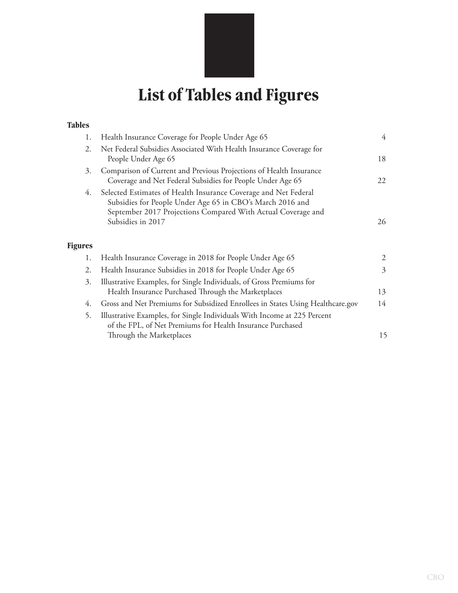# **List of Tables and Figures**

#### <span id="page-31-0"></span>**Tables**

| 1.             | Health Insurance Coverage for People Under Age 65                                                                                                                                            | 4  |
|----------------|----------------------------------------------------------------------------------------------------------------------------------------------------------------------------------------------|----|
| 2.             | Net Federal Subsidies Associated With Health Insurance Coverage for<br>People Under Age 65                                                                                                   | 18 |
| 3.             | Comparison of Current and Previous Projections of Health Insurance<br>Coverage and Net Federal Subsidies for People Under Age 65                                                             | 22 |
| 4.             | Selected Estimates of Health Insurance Coverage and Net Federal<br>Subsidies for People Under Age 65 in CBO's March 2016 and<br>September 2017 Projections Compared With Actual Coverage and |    |
|                | Subsidies in 2017                                                                                                                                                                            | 26 |
| <b>Figures</b> |                                                                                                                                                                                              |    |
| 1.             | Health Insurance Coverage in 2018 for People Under Age 65                                                                                                                                    | 2  |
| 2.             | Health Insurance Subsidies in 2018 for People Under Age 65                                                                                                                                   | 3  |
| 3.             | Illustrative Examples, for Single Individuals, of Gross Premiums for<br>Health Insurance Purchased Through the Marketplaces                                                                  | 13 |
| 4.             | Gross and Net Premiums for Subsidized Enrollees in States Using Healthcare.gov                                                                                                               | 14 |
| 5.             | Illustrative Examples, for Single Individuals With Income at 225 Percent<br>of the FPL, of Net Premiums for Health Insurance Purchased                                                       |    |
|                | Through the Marketplaces                                                                                                                                                                     | 15 |